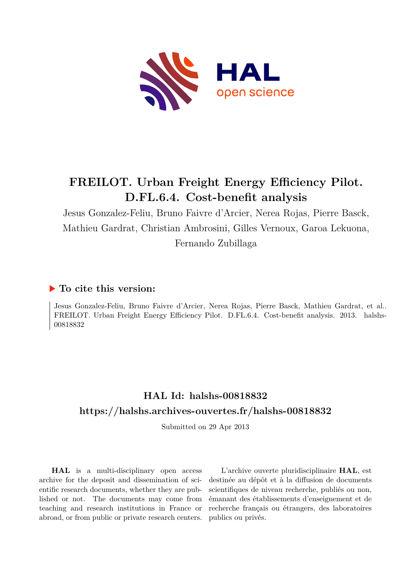

# **FREILOT. Urban Freight Energy Efficiency Pilot. D.FL.6.4. Cost-benefit analysis**

Jesus Gonzalez-Feliu, Bruno Faivre d'Arcier, Nerea Rojas, Pierre Basck, Mathieu Gardrat, Christian Ambrosini, Gilles Vernoux, Garoa Lekuona, Fernando Zubillaga

# **To cite this version:**

Jesus Gonzalez-Feliu, Bruno Faivre d'Arcier, Nerea Rojas, Pierre Basck, Mathieu Gardrat, et al.. FREILOT. Urban Freight Energy Efficiency Pilot. D.FL.6.4. Cost-benefit analysis. 2013. halshs-00818832

# **HAL Id: halshs-00818832 <https://halshs.archives-ouvertes.fr/halshs-00818832>**

Submitted on 29 Apr 2013

**HAL** is a multi-disciplinary open access archive for the deposit and dissemination of scientific research documents, whether they are published or not. The documents may come from teaching and research institutions in France or abroad, or from public or private research centers.

L'archive ouverte pluridisciplinaire **HAL**, est destinée au dépôt et à la diffusion de documents scientifiques de niveau recherche, publiés ou non, émanant des établissements d'enseignement et de recherche français ou étrangers, des laboratoires publics ou privés.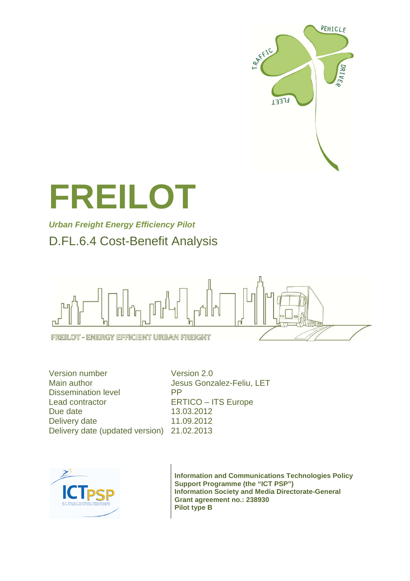

# **FREILOT**

**Urban Freight Energy Efficiency Pilot** D.FL.6.4 Cost-Benefit Analysis



Version number Version 2.0 Main author **Main author** Jesus Gonzalez-Feliu, LET Dissemination level **PP** Lead contractor ERTICO – ITS Europe Due date 13.03.2012 Delivery date 11.09.2012 Delivery date (updated version) 21.02.2013



**Information and Communications Technologies Policy Support Programme (the "ICT PSP") Information Society and Media Directorate-General Grant agreement no.: 238930 Pilot type B**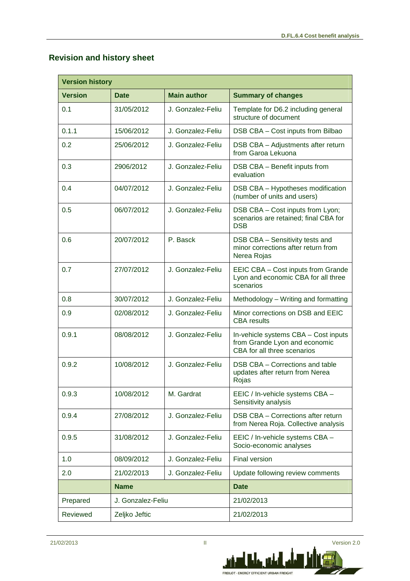# **Revision and history sheet**

| <b>Version history</b> |                   |                    |                                                                                                      |  |  |  |  |
|------------------------|-------------------|--------------------|------------------------------------------------------------------------------------------------------|--|--|--|--|
| <b>Version</b>         | <b>Date</b>       | <b>Main author</b> | <b>Summary of changes</b>                                                                            |  |  |  |  |
| 0.1                    | 31/05/2012        | J. Gonzalez-Feliu  | Template for D6.2 including general<br>structure of document                                         |  |  |  |  |
| 0.1.1                  | 15/06/2012        | J. Gonzalez-Feliu  | DSB CBA - Cost inputs from Bilbao                                                                    |  |  |  |  |
| 0.2                    | 25/06/2012        | J. Gonzalez-Feliu  | DSB CBA - Adjustments after return<br>from Garoa Lekuona                                             |  |  |  |  |
| 0.3                    | 2906/2012         | J. Gonzalez-Feliu  | DSB CBA - Benefit inputs from<br>evaluation                                                          |  |  |  |  |
| 0.4                    | 04/07/2012        | J. Gonzalez-Feliu  | DSB CBA - Hypotheses modification<br>(number of units and users)                                     |  |  |  |  |
| 0.5                    | 06/07/2012        | J. Gonzalez-Feliu  | DSB CBA - Cost inputs from Lyon;<br>scenarios are retained; final CBA for<br><b>DSB</b>              |  |  |  |  |
| 0.6                    | 20/07/2012        | P. Basck           | DSB CBA - Sensitivity tests and<br>minor corrections after return from<br>Nerea Rojas                |  |  |  |  |
| 0.7                    | 27/07/2012        | J. Gonzalez-Feliu  | EEIC CBA - Cost inputs from Grande<br>Lyon and economic CBA for all three<br>scenarios               |  |  |  |  |
| 0.8                    | 30/07/2012        | J. Gonzalez-Feliu  | Methodology - Writing and formatting                                                                 |  |  |  |  |
| 0.9                    | 02/08/2012        | J. Gonzalez-Feliu  | Minor corrections on DSB and EEIC<br><b>CBA</b> results                                              |  |  |  |  |
| 0.9.1                  | 08/08/2012        | J. Gonzalez-Feliu  | In-vehicle systems CBA - Cost inputs<br>from Grande Lyon and economic<br>CBA for all three scenarios |  |  |  |  |
| 0.9.2                  | 10/08/2012        | J. Gonzalez-Feliu  | DSB CBA - Corrections and table<br>updates after return from Nerea<br>Rojas                          |  |  |  |  |
| 0.9.3                  | 10/08/2012        | M. Gardrat         | EEIC / In-vehicle systems CBA -<br>Sensitivity analysis                                              |  |  |  |  |
| 0.9.4                  | 27/08/2012        | J. Gonzalez-Feliu  | DSB CBA - Corrections after return<br>from Nerea Roja. Collective analysis                           |  |  |  |  |
| 0.9.5                  | 31/08/2012        | J. Gonzalez-Feliu  | EEIC / In-vehicle systems CBA -<br>Socio-economic analyses                                           |  |  |  |  |
| 1.0                    | 08/09/2012        | J. Gonzalez-Feliu  | <b>Final version</b>                                                                                 |  |  |  |  |
| 2.0                    | 21/02/2013        | J. Gonzalez-Feliu  | Update following review comments                                                                     |  |  |  |  |
|                        | <b>Name</b>       |                    | <b>Date</b>                                                                                          |  |  |  |  |
| Prepared               | J. Gonzalez-Feliu |                    | 21/02/2013                                                                                           |  |  |  |  |
| Reviewed               | Zeljko Jeftic     |                    | 21/02/2013                                                                                           |  |  |  |  |



 $\mathbf{r}$ -<br>FREILOT - ENERGY EFFICIENT URBAN FREIGHT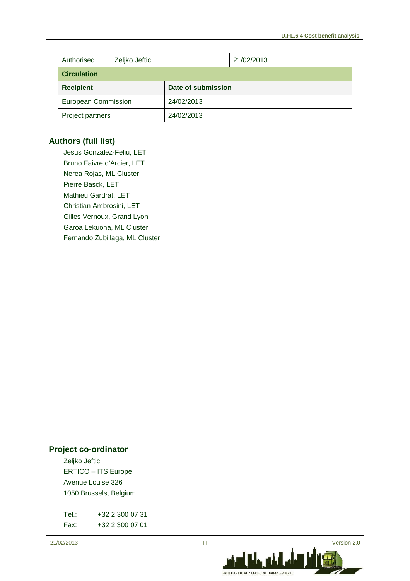| Authorised                 | Zeljko Jeftic |                    | 21/02/2013 |  |  |  |
|----------------------------|---------------|--------------------|------------|--|--|--|
| <b>Circulation</b>         |               |                    |            |  |  |  |
| <b>Recipient</b>           |               | Date of submission |            |  |  |  |
| <b>European Commission</b> |               | 24/02/2013         |            |  |  |  |
| Project partners           |               | 24/02/2013         |            |  |  |  |

# **Authors (full list)**

Jesus Gonzalez-Feliu, LET Bruno Faivre d'Arcier, LET Nerea Rojas, ML Cluster Pierre Basck, LET Mathieu Gardrat, LET Christian Ambrosini, LET Gilles Vernoux, Grand Lyon Garoa Lekuona, ML Cluster Fernando Zubillaga, ML Cluster

# **Project co-ordinator**

Zeljko Jeftic ERTICO – ITS Europe Avenue Louise 326 1050 Brussels, Belgium

Tel.: +32 2 300 07 31 Fax: +32 2 300 07 01



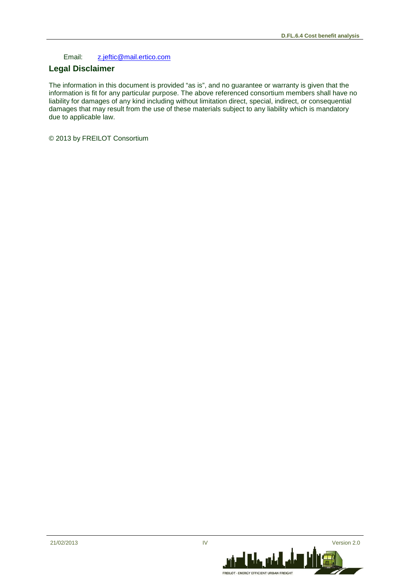Email: z.jeftic@mail.ertico.com

# **Legal Disclaimer**

The information in this document is provided "as is", and no guarantee or warranty is given that the information is fit for any particular purpose. The above referenced consortium members shall have no liability for damages of any kind including without limitation direct, special, indirect, or consequential damages that may result from the use of these materials subject to any liability which is mandatory due to applicable law.

© 2013 by FREILOT Consortium



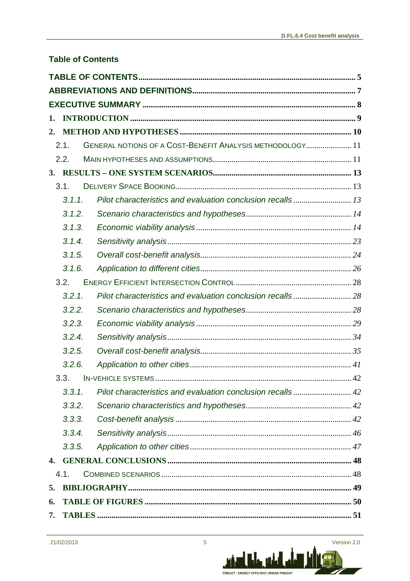# **Table of Contents**

| 1.           |        |                                                           |  |
|--------------|--------|-----------------------------------------------------------|--|
| 2.           |        |                                                           |  |
|              | 2.1.   | GENERAL NOTIONS OF A COST-BENEFIT ANALYSIS METHODOLOGY 11 |  |
|              | 2.2.   |                                                           |  |
| 3.           |        |                                                           |  |
|              | 3.1.   |                                                           |  |
|              | 3.1.1. |                                                           |  |
|              | 3.1.2. |                                                           |  |
|              | 3.1.3. |                                                           |  |
|              | 3.1.4. |                                                           |  |
|              | 3.1.5. |                                                           |  |
|              | 3.1.6. |                                                           |  |
|              | 3.2.   |                                                           |  |
|              | 3.2.1. |                                                           |  |
|              | 3.2.2. |                                                           |  |
|              | 3.2.3. |                                                           |  |
|              | 3.2.4. |                                                           |  |
|              | 3.2.5. |                                                           |  |
|              | 3.2.6. |                                                           |  |
|              | 3.3.   |                                                           |  |
|              | 3.3.1. |                                                           |  |
|              | 3.3.2. |                                                           |  |
|              | 3.3.3. |                                                           |  |
|              | 3.3.4. |                                                           |  |
|              | 3.3.5. |                                                           |  |
| $\mathbf{4}$ |        |                                                           |  |
|              | 4.1.   |                                                           |  |
| 5.           |        |                                                           |  |
| 6.           |        |                                                           |  |
|              |        |                                                           |  |



**ALL ALL ALL ALL ALL ALL**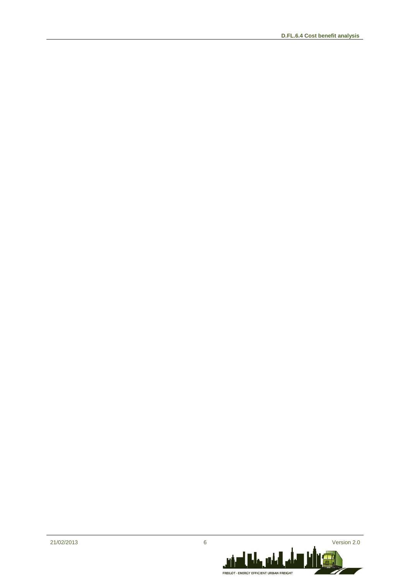

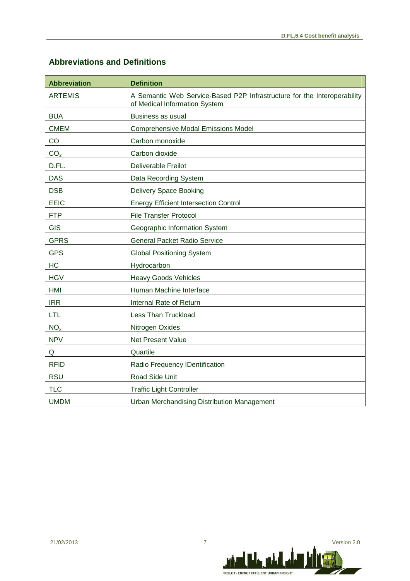# **Abbreviations and Definitions**

| <b>Abbreviation</b> | <b>Definition</b>                                                                                         |
|---------------------|-----------------------------------------------------------------------------------------------------------|
| <b>ARTEMIS</b>      | A Semantic Web Service-Based P2P Infrastructure for the Interoperability<br>of Medical Information System |
| <b>BUA</b>          | Business as usual                                                                                         |
| <b>CMEM</b>         | <b>Comprehensive Modal Emissions Model</b>                                                                |
| CO                  | Carbon monoxide                                                                                           |
| CO <sub>2</sub>     | Carbon dioxide                                                                                            |
| D.FL.               | <b>Deliverable Freilot</b>                                                                                |
| <b>DAS</b>          | Data Recording System                                                                                     |
| <b>DSB</b>          | <b>Delivery Space Booking</b>                                                                             |
| <b>EEIC</b>         | <b>Energy Efficient Intersection Control</b>                                                              |
| <b>FTP</b>          | <b>File Transfer Protocol</b>                                                                             |
| <b>GIS</b>          | Geographic Information System                                                                             |
| <b>GPRS</b>         | <b>General Packet Radio Service</b>                                                                       |
| <b>GPS</b>          | <b>Global Positioning System</b>                                                                          |
| HC                  | Hydrocarbon                                                                                               |
| <b>HGV</b>          | <b>Heavy Goods Vehicles</b>                                                                               |
| <b>HMI</b>          | Human Machine Interface                                                                                   |
| <b>IRR</b>          | Internal Rate of Return                                                                                   |
| <b>LTL</b>          | Less Than Truckload                                                                                       |
| NO <sub>x</sub>     | Nitrogen Oxides                                                                                           |
| <b>NPV</b>          | Net Present Value                                                                                         |
| Q                   | Quartile                                                                                                  |
| <b>RFID</b>         | Radio Frequency IDentification                                                                            |
| <b>RSU</b>          | Road Side Unit                                                                                            |
| <b>TLC</b>          | <b>Traffic Light Controller</b>                                                                           |
| <b>UMDM</b>         | <b>Urban Merchandising Distribution Management</b>                                                        |

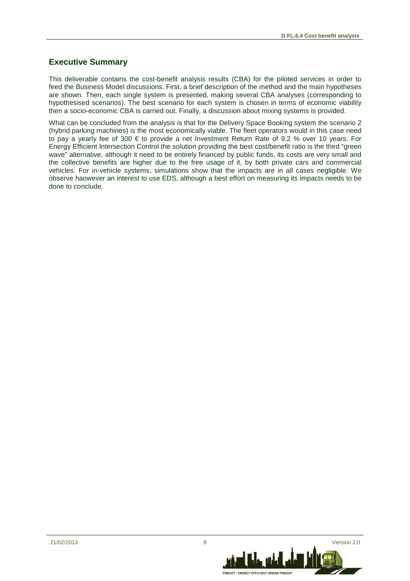# **Executive Summary**

This deliverable contains the cost-benefit analysis results (CBA) for the piloted services in order to feed the Business Model discussions. First, a brief description of the method and the main hypotheses are shown. Then, each single system is presented, making several CBA analyses (corresponding to hypothesised scenarios). The best scenario for each system is chosen in terms of economic viability then a socio-economic CBA is carried out. Finally, a discussion about mixing systems is provided.

What can be concluded from the analysis is that for the Delivery Space Booking system the scenario 2 (hybrid parking machines) is the most economically viable. The fleet operators would in this case need to pay a yearly fee of 300 € to provide a net Investment Return Rate of 9.2 % over 10 years. For Energy Efficient Intersection Control the solution providing the best cost/benefit ratio is the third "green wave" alternative, although it need to be entirely financed by public funds, its costs are very small and the collective benefits are higher due to the free usage of it, by both private cars and commercial vehicles. For in-vehicle systems, simulations show that the impacts are in all cases negligible. We observe haowever an interest to use EDS, although a best effort on measuring its impacts needs to be done to conclude.



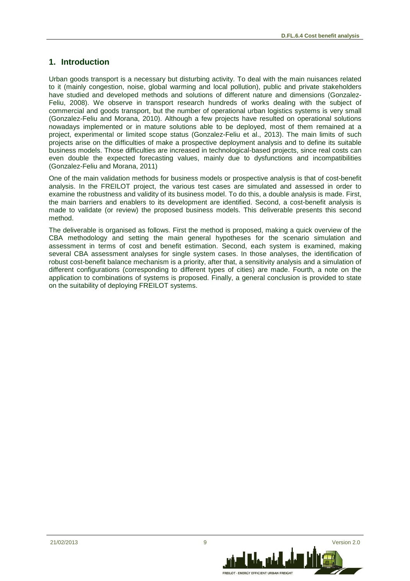# **1. Introduction**

Urban goods transport is a necessary but disturbing activity. To deal with the main nuisances related to it (mainly congestion, noise, global warming and local pollution), public and private stakeholders have studied and developed methods and solutions of different nature and dimensions (Gonzalez-Feliu, 2008). We observe in transport research hundreds of works dealing with the subject of commercial and goods transport, but the number of operational urban logistics systems is very small (Gonzalez-Feliu and Morana, 2010). Although a few projects have resulted on operational solutions nowadays implemented or in mature solutions able to be deployed, most of them remained at a project, experimental or limited scope status (Gonzalez-Feliu et al., 2013). The main limits of such projects arise on the difficulties of make a prospective deployment analysis and to define its suitable business models. Those difficulties are increased in technological-based projects, since real costs can even double the expected forecasting values, mainly due to dysfunctions and incompatibilities (Gonzalez-Feliu and Morana, 2011)

One of the main validation methods for business models or prospective analysis is that of cost-benefit analysis. In the FREILOT project, the various test cases are simulated and assessed in order to examine the robustness and validity of its business model. To do this, a double analysis is made. First, the main barriers and enablers to its development are identified. Second, a cost-benefit analysis is made to validate (or review) the proposed business models. This deliverable presents this second method.

The deliverable is organised as follows. First the method is proposed, making a quick overview of the CBA methodology and setting the main general hypotheses for the scenario simulation and assessment in terms of cost and benefit estimation. Second, each system is examined, making several CBA assessment analyses for single system cases. In those analyses, the identification of robust cost-benefit balance mechanism is a priority, after that, a sensitivity analysis and a simulation of different configurations (corresponding to different types of cities) are made. Fourth, a note on the application to combinations of systems is proposed. Finally, a general conclusion is provided to state on the suitability of deploying FREILOT systems.

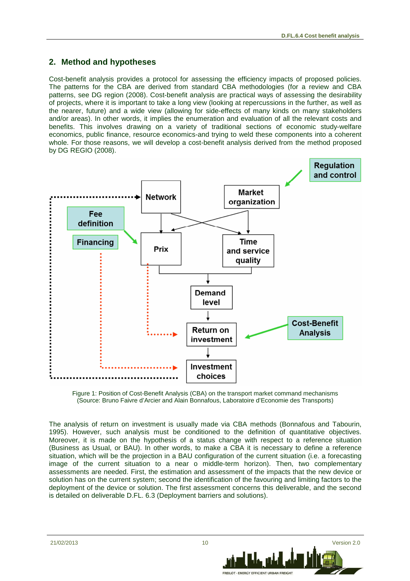# **2. Method and hypotheses**

Cost-benefit analysis provides a protocol for assessing the efficiency impacts of proposed policies. The patterns for the CBA are derived from standard CBA methodologies (for a review and CBA patterns, see DG region (2008). Cost-benefit analysis are practical ways of assessing the desirability of projects, where it is important to take a long view (looking at repercussions in the further, as well as the nearer, future) and a wide view (allowing for side-effects of many kinds on many stakeholders and/or areas). In other words, it implies the enumeration and evaluation of all the relevant costs and benefits. This involves drawing on a variety of traditional sections of economic study-welfare economics, public finance, resource economics-and trying to weld these components into a coherent whole. For those reasons, we will develop a cost-benefit analysis derived from the method proposed by DG REGIO (2008).



Figure 1: Position of Cost-Benefit Analysis (CBA) on the transport market command mechanisms (Source: Bruno Faivre d'Arcier and Alain Bonnafous, Laboratoire d'Economie des Transports)

The analysis of return on investment is usually made via CBA methods (Bonnafous and Tabourin, 1995). However, such analysis must be conditioned to the definition of quantitative objectives. Moreover, it is made on the hypothesis of a status change with respect to a reference situation (Business as Usual, or BAU). In other words, to make a CBA it is necessary to define a reference situation, which will be the projection in a BAU configuration of the current situation (i.e. a forecasting image of the current situation to a near o middle-term horizon). Then, two complementary assessments are needed. First, the estimation and assessment of the impacts that the new device or solution has on the current system; second the identification of the favouring and limiting factors to the deployment of the device or solution. The first assessment concerns this deliverable, and the second is detailed on deliverable D.FL. 6.3 (Deployment barriers and solutions).

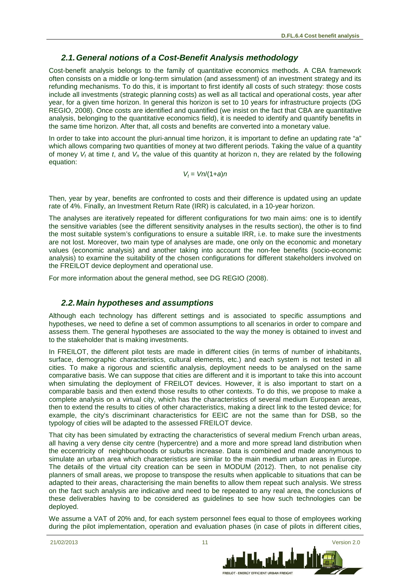# **2.1. General notions of a Cost-Benefit Analysis methodology**

Cost-benefit analysis belongs to the family of quantitative economics methods. A CBA framework often consists on a middle or long-term simulation (and assessment) of an investment strategy and its refunding mechanisms. To do this, it is important to first identify all costs of such strategy: those costs include all investments (strategic planning costs) as well as all tactical and operational costs, year after year, for a given time horizon. In general this horizon is set to 10 years for infrastructure projects (DG REGIO, 2008). Once costs are identified and quantified (we insist on the fact that CBA are quantitative analysis, belonging to the quantitative economics field), it is needed to identify and quantify benefits in the same time horizon. After that, all costs and benefits are converted into a monetary value.

In order to take into account the pluri-annual time horizon, it is important to define an updating rate "a" which allows comparing two quantities of money at two different periods. Taking the value of a quantity of money  $V_t$  at time t, and  $V_n$  the value of this quantity at horizon n, they are related by the following equation:

$$
V_t = Vn/(1+a)n
$$

Then, year by year, benefits are confronted to costs and their difference is updated using an update rate of 4%. Finally, an Investment Return Rate (IRR) is calculated, in a 10-year horizon.

The analyses are iteratively repeated for different configurations for two main aims: one is to identify the sensitive variables (see the different sensitivity analyses in the results section), the other is to find the most suitable system's configurations to ensure a suitable IRR, i.e. to make sure the investments are not lost. Moreover, two main type of analyses are made, one only on the economic and monetary values (economic analysis) and another taking into account the non-fee benefits (socio-economic analysis) to examine the suitability of the chosen configurations for different stakeholders involved on the FREILOT device deployment and operational use.

For more information about the general method, see DG REGIO (2008).

# **2.2. Main hypotheses and assumptions**

Although each technology has different settings and is associated to specific assumptions and hypotheses, we need to define a set of common assumptions to all scenarios in order to compare and assess them. The general hypotheses are associated to the way the money is obtained to invest and to the stakeholder that is making investments.

In FREILOT, the different pilot tests are made in different cities (in terms of number of inhabitants, surface, demographic characteristics, cultural elements, etc.) and each system is not tested in all cities. To make a rigorous and scientific analysis, deployment needs to be analysed on the same comparative basis. We can suppose that cities are different and it is important to take this into account when simulating the deployment of FREILOT devices. However, it is also important to start on a comparable basis and then extend those results to other contexts. To do this, we propose to make a complete analysis on a virtual city, which has the characteristics of several medium European areas, then to extend the results to cities of other characteristics, making a direct link to the tested device; for example, the city's discriminant characteristics for EEIC are not the same than for DSB, so the typology of cities will be adapted to the assessed FREILOT device.

That city has been simulated by extracting the characteristics of several medium French urban areas, all having a very dense city centre (hypercentre) and a more and more spread land distribution when the eccentricity of neighbourhoods or suburbs increase. Data is combined and made anonymous to simulate an urban area which characteristics are similar to the main medium urban areas in Europe. The details of the virtual city creation can be seen in MODUM (2012). Then, to not penalise city planners of small areas, we propose to transpose the results when applicable to situations that can be adapted to their areas, characterising the main benefits to allow them repeat such analysis. We stress on the fact such analysis are indicative and need to be repeated to any real area, the conclusions of these deliverables having to be considered as guidelines to see how such technologies can be deployed.

We assume a VAT of 20% and, for each system personnel fees equal to those of employees working during the pilot implementation, operation and evaluation phases (in case of pilots in different cities,

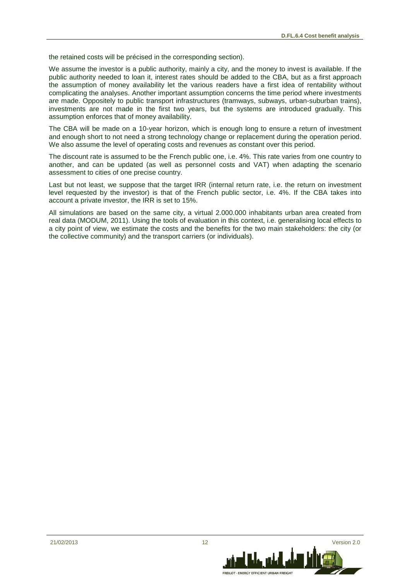the retained costs will be précised in the corresponding section).

We assume the investor is a public authority, mainly a city, and the money to invest is available. If the public authority needed to loan it, interest rates should be added to the CBA, but as a first approach the assumption of money availability let the various readers have a first idea of rentability without complicating the analyses. Another important assumption concerns the time period where investments are made. Oppositely to public transport infrastructures (tramways, subways, urban-suburban trains), investments are not made in the first two years, but the systems are introduced gradually. This assumption enforces that of money availability.

The CBA will be made on a 10-year horizon, which is enough long to ensure a return of investment and enough short to not need a strong technology change or replacement during the operation period. We also assume the level of operating costs and revenues as constant over this period.

The discount rate is assumed to be the French public one, i.e. 4%. This rate varies from one country to another, and can be updated (as well as personnel costs and VAT) when adapting the scenario assessment to cities of one precise country.

Last but not least, we suppose that the target IRR (internal return rate, i.e. the return on investment level requested by the investor) is that of the French public sector, i.e. 4%. If the CBA takes into account a private investor, the IRR is set to 15%.

All simulations are based on the same city, a virtual 2.000.000 inhabitants urban area created from real data (MODUM, 2011). Using the tools of evaluation in this context, i.e. generalising local effects to a city point of view, we estimate the costs and the benefits for the two main stakeholders: the city (or the collective community) and the transport carriers (or individuals).

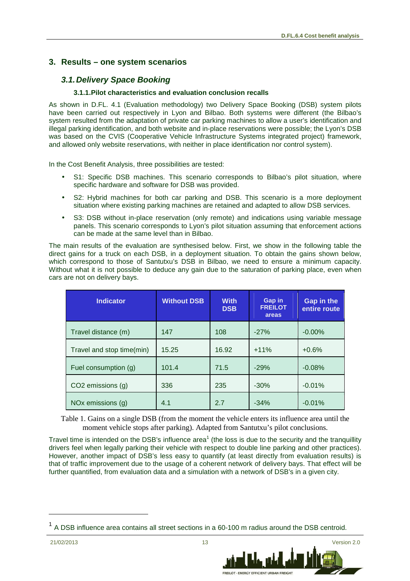# **3. Results – one system scenarios**

# **3.1. Delivery Space Booking**

# **3.1.1. Pilot characteristics and evaluation conclusion recalls**

As shown in D.FL. 4.1 (Evaluation methodology) two Delivery Space Booking (DSB) system pilots have been carried out respectively in Lyon and Bilbao. Both systems were different (the Bilbao's system resulted from the adaptation of private car parking machines to allow a user's identification and illegal parking identification, and both website and in-place reservations were possible; the Lyon's DSB was based on the CVIS (Cooperative Vehicle Infrastructure Systems integrated project) framework, and allowed only website reservations, with neither in place identification nor control system).

In the Cost Benefit Analysis, three possibilities are tested:

- S1: Specific DSB machines. This scenario corresponds to Bilbao's pilot situation, where specific hardware and software for DSB was provided.
- S2: Hybrid machines for both car parking and DSB. This scenario is a more deployment situation where existing parking machines are retained and adapted to allow DSB services.
- S3: DSB without in-place reservation (only remote) and indications using variable message panels. This scenario corresponds to Lyon's pilot situation assuming that enforcement actions can be made at the same level than in Bilbao.

The main results of the evaluation are synthesised below. First, we show in the following table the direct gains for a truck on each DSB, in a deployment situation. To obtain the gains shown below, which correspond to those of Santutxu's DSB in Bilbao, we need to ensure a minimum capacity. Without what it is not possible to deduce any gain due to the saturation of parking place, even when cars are not on delivery bays.

| <b>Indicator</b>              | <b>Without DSB</b> | <b>With</b><br><b>DSB</b> | <b>Gap in</b><br><b>FREILOT</b><br>areas | <b>Gap in the</b><br>entire route |
|-------------------------------|--------------------|---------------------------|------------------------------------------|-----------------------------------|
| Travel distance (m)           | 147                | 108                       | $-27%$                                   | $-0.00%$                          |
| Travel and stop time(min)     | 15.25              | 16.92                     | $+11%$                                   | $+0.6%$                           |
| Fuel consumption (g)          | 101.4              | 71.5                      | $-29%$                                   | $-0.08%$                          |
| CO2 emissions (g)             | 336                | 235                       | $-30%$                                   | $-0.01%$                          |
| NO <sub>x</sub> emissions (g) | 4.1                | 2.7                       | $-34%$                                   | $-0.01%$                          |

Table 1. Gains on a single DSB (from the moment the vehicle enters its influence area until the moment vehicle stops after parking). Adapted from Santutxu's pilot conclusions.

Travel time is intended on the DSB's influence area<sup>1</sup> (the loss is due to the security and the tranquillity drivers feel when legally parking their vehicle with respect to double line parking and other practices). However, another impact of DSB's less easy to quantify (at least directly from evaluation results) is that of traffic improvement due to the usage of a coherent network of delivery bays. That effect will be further quantified, from evaluation data and a simulation with a network of DSB's in a given city.

 $\overline{a}$ 



 $<sup>1</sup>$  A DSB influence area contains all street sections in a 60-100 m radius around the DSB centroid.</sup>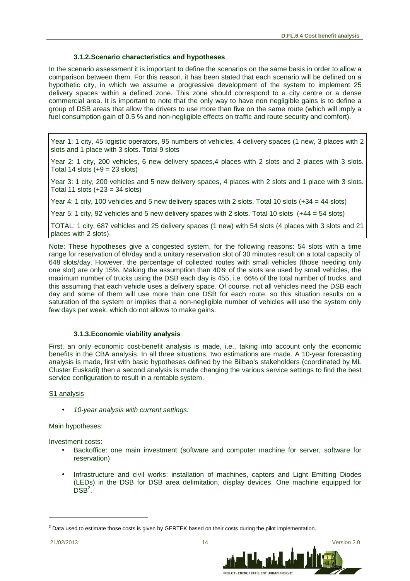#### **3.1.2. Scenario characteristics and hypotheses**

In the scenario assessment it is important to define the scenarios on the same basis in order to allow a comparison between them. For this reason, it has been stated that each scenario will be defined on a hypothetic city, in which we assume a progressive development of the system to implement 25 delivery spaces within a defined zone. This zone should correspond to a city centre or a dense commercial area. It is important to note that the only way to have non negligible gains is to define a group of DSB areas that allow the drivers to use more than five on the same route (which will imply a fuel consumption gain of 0.5 % and non-negligible effects on traffic and route security and comfort).

Year 1: 1 city, 45 logistic operators, 95 numbers of vehicles, 4 delivery spaces (1 new, 3 places with 2 slots and 1 place with 3 slots. Total 9 slots

Year 2: 1 city, 200 vehicles, 6 new delivery spaces, 4 places with 2 slots and 2 places with 3 slots. Total 14 slots  $(+9 = 23$  slots)

Year 3: 1 city, 200 vehicles and 5 new delivery spaces, 4 places with 2 slots and 1 place with 3 slots. Total 11 slots  $(+23 = 34$  slots)

Year 4: 1 city, 100 vehicles and 5 new delivery spaces with 2 slots. Total 10 slots  $(+34 = 44$  slots)

Year 5: 1 city, 92 vehicles and 5 new delivery spaces with 2 slots. Total 10 slots (+44 = 54 slots)

TOTAL: 1 city, 687 vehicles and 25 delivery spaces (1 new) with 54 slots (4 places with 3 slots and 21 places with 2 slots)

Note: These hypotheses give a congested system, for the following reasons: 54 slots with a time range for reservation of 6h/day and a unitary reservation slot of 30 minutes result on a total capacity of 648 slots/day. However, the percentage of collected routes with small vehicles (those needing only one slot) are only 15%. Making the assumption than 40% of the slots are used by small vehicles, the maximum number of trucks using the DSB each day is 455, i.e. 66% of the total number of trucks, and this assuming that each vehicle uses a delivery space. Of course, not all vehicles need the DSB each day and some of them will use more than one DSB for each route, so this situation results on a saturation of the system or implies that a non-negligible number of vehicles will use the system only few days per week, which do not allows to make gains.

#### **3.1.3. Economic viability analysis**

First, an only economic cost-benefit analysis is made, i.e., taking into account only the economic benefits in the CBA analysis. In all three situations, two estimations are made. A 10-year forecasting analysis is made, first with basic hypotheses defined by the Bilbao's stakeholders (coordinated by ML Cluster Euskadi) then a second analysis is made changing the various service settings to find the best service configuration to result in a rentable system.

#### S1 analysis

• 10-year analysis with current settings:

Main hypotheses:

Investment costs:

- Backoffice: one main investment (software and computer machine for server, software for reservation)
- Infrastructure and civil works: installation of machines, captors and Light Emitting Diodes (LEDs) in the DSB for DSB area delimitation, display devices. One machine equipped for  $DSB<sup>2</sup>$ .

 $\overline{a}$ 



 $<sup>2</sup>$  Data used to estimate those costs is given by GERTEK based on their costs during the pilot implementation.</sup>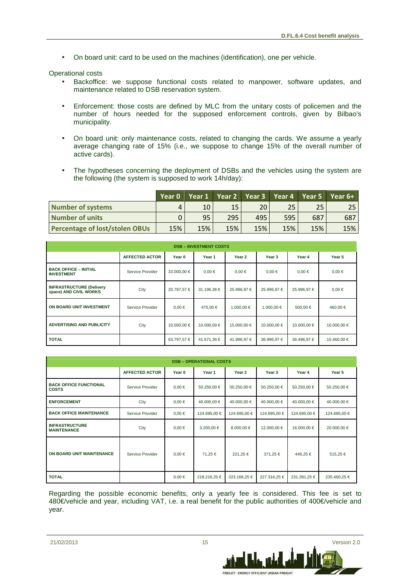• On board unit: card to be used on the machines (identification), one per vehicle.

Operational costs

- Backoffice: we suppose functional costs related to manpower, software updates, and maintenance related to DSB reservation system.
- Enforcement: those costs are defined by MLC from the unitary costs of policemen and the number of hours needed for the supposed enforcement controls, given by Bilbao's municipality.
- On board unit: only maintenance costs, related to changing the cards. We assume a yearly average changing rate of 15% (i.e., we suppose to change 15% of the overall number of active cards).
- The hypotheses concerning the deployment of DSBs and the vehicles using the system are the following (the system is supposed to work 14h/day):

|                                       | Year 0 |     |     |      |     |     | Year 1   Year 2   Year 3   Year 4   Year 5   Year 6+ |
|---------------------------------------|--------|-----|-----|------|-----|-----|------------------------------------------------------|
| <b>Number of systems</b>              |        | 10  | 15  | ا 20 | 25  |     | 25                                                   |
| <b>Number of units</b>                |        | 95  | 295 | 495  | 595 | 687 | 687                                                  |
| <b>Percentage of lost/stolen OBUs</b> | 15%    | 15% | 15% | 15%  | 15% | 15% | 15%                                                  |

| <b>DSB-INVESTMENT COSTS</b>                               |                       |             |             |             |                   |             |             |  |  |  |
|-----------------------------------------------------------|-----------------------|-------------|-------------|-------------|-------------------|-------------|-------------|--|--|--|
|                                                           | <b>AFFECTED ACTOR</b> | Year 0      | Year 1      | Year 2      | Year <sub>3</sub> | Year 4      | Year 5      |  |  |  |
| <b>BACK OFFICE - INITIAL</b><br><b>INVESTMENT</b>         | Service Provider      | 33.000,00 € | $0.00 \in$  | $0.00 \in$  | $0.00 \in$        | $0.00 \in$  | $0,00 \in$  |  |  |  |
| <b>INFRASTRUCTURE (Delivery</b><br>space) AND CIVIL WORKS | City                  | 20.797.57 € | 31.196.36 € | 25.996,97 € | 25.996,97 €       | 25.996,97€  | $0,00 \in$  |  |  |  |
| ON BOARD UNIT INVESTMENT                                  | Service Provider      | $0.00 \in$  | 475.00 €    | 1.000.00 €  | 1.000.00 €        | 500.00 €    | 460.00 €    |  |  |  |
| <b>ADVERTISING AND PUBLICITY</b>                          | City                  | 10.000.00 € | 10.000.00 € | 15,000,00 € | 10.000.00 €       | 10.000.00 € | 10.000,00 € |  |  |  |
| <b>TOTAL</b>                                              |                       | 63.797,57 € | 41.671,36 € | 41.996,97 € | 36.996,97 €       | 36.496,97 € | 10.460,00 € |  |  |  |

| <b>DSB-OPERATIONAL COSTS</b>                  |                       |            |              |                |                   |              |              |  |  |  |
|-----------------------------------------------|-----------------------|------------|--------------|----------------|-------------------|--------------|--------------|--|--|--|
|                                               | <b>AFFECTED ACTOR</b> | Year 0     | Year 1       | Year 2         | Year <sub>3</sub> | Year 4       | Year 5       |  |  |  |
| <b>BACK OFFICE FUNCTIONAL</b><br><b>COSTS</b> | Service Provider      | $0,00 \in$ | 50.250,00 €  | 50.250,00 €    | 50.250,00 €       | 50.250,00 €  | 50.250,00 €  |  |  |  |
| <b>ENFORCEMENT</b>                            | City                  | $0,00 \in$ | 40.000,00 €  | 40.000,00 €    | 40.000,00 €       | 40.000,00 €  | 40.000,00 €  |  |  |  |
| <b>BACK OFFICE MAINTENANCE</b>                | Service Provider      | $0,00 \in$ | 124.695,00 € | 124.695,00 €   | 124.695,00 €      | 124.695,00 € | 124.695,00 € |  |  |  |
| <b>INFRASTRUCTURE</b><br><b>MAINTENANCE</b>   | City                  | $0,00 \in$ | 3.200,00 €   | $8.000,00 \in$ | 12.000,00 €       | 16.000,00 €  | 20.000,00 €  |  |  |  |
| ON BOARD UNIT MAINTENANCE                     | Service Provider      | $0,00 \in$ | 71,25 €      | 221,25 €       | 371,25 €          | 446,25 €     | 515,25€      |  |  |  |
| <b>TOTAL</b>                                  |                       | $0,00 \in$ | 218.216,25 € | 223.166,25 €   | 227.316,25 €      | 231.391,25 € | 235.460,25 € |  |  |  |

Regarding the possible economic benefits, only a yearly fee is considered. This fee is set to 480€/vehicle and year, including VAT, i.e. a real benefit for the public authorities of 400€/vehicle and year.

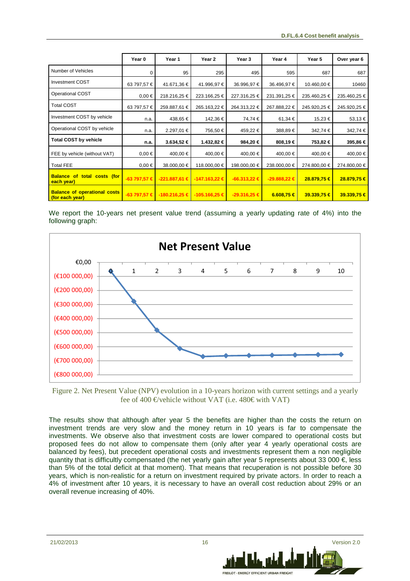|                                                        | Year 0       | Year 1             | Year 2            | Year 3           | Year 4           | Year 5       | Over year 6  |
|--------------------------------------------------------|--------------|--------------------|-------------------|------------------|------------------|--------------|--------------|
| Number of Vehicles                                     | 0            | 95                 | 295               | 495              | 595              | 687          | 687          |
| <b>Investment COST</b>                                 | 63 797,57 €  | 41.671,36 €        | 41.996,97€        | 36.996,97€       | 36.496,97€       | 10.460,00 €  | 10460        |
| <b>Operational COST</b>                                | $0,00 \in$   | 218.216,25 €       | 223.166,25 €      | 227.316,25 €     | 231.391,25 €     | 235.460,25 € | 235.460,25 € |
| <b>Total COST</b>                                      | 63 797,57 €  | 259.887,61 €       | 265.163,22 €      | 264.313,22 €     | 267.888,22 €     | 245.920,25 € | 245.920,25 € |
| Investment COST by vehicle                             | n.a.         | 438,65 €           | 142,36 €          | 74,74 €          | 61,34 €          | 15,23 €      | 53,13 €      |
| Operational COST by vehicle                            | n.a.         | 2.297,01 €         | 756,50 €          | 459,22 €         | 388,89€          | 342,74 €     | 342,74 €     |
| <b>Total COST by vehicle</b>                           | n.a.         | 3.634,52 €         | 1.432,82 €        | 984,20 €         | 808,19 $\in$     | 753,82 €     | 395,86 €     |
| FEE by vehicle (without VAT)                           | $0,00 \in$   | 400,00 €           | 400,00 €          | 400,00 €         | 400,00 €         | 400,00 €     | 400,00 €     |
| <b>Total FEE</b>                                       | $0,00 \in$   | 38.000,00 €        | 118.000,00 €      | 198.000,00 €     | 238.000,00 €     | 274.800,00 € | 274.800,00 € |
| <b>Balance of total costs (for</b><br>each year)       | -63 797,57 € | -221.887,61 € $\ $ | $-147.163,22 \in$ | $-66.313,22 \in$ | $-29.888,22 \in$ | 28.879,75 €  | 28.879,75 €  |
| <b>Balance of operational costs</b><br>(for each year) | -63 797,57 € | $-180.216,25 \in$  | $-105.166,25 \in$ | $-29.316,25 \in$ | 6.608,75€        | 39.339,75 €  | 39.339,75 €  |

We report the 10-years net present value trend (assuming a yearly updating rate of 4%) into the following graph:



Figure 2. Net Present Value (NPV) evolution in a 10-years horizon with current settings and a yearly fee of 400 €/vehicle without VAT (i.e. 480€ with VAT)

The results show that although after year 5 the benefits are higher than the costs the return on investment trends are very slow and the money return in 10 years is far to compensate the investments. We observe also that investment costs are lower compared to operational costs but proposed fees do not allow to compensate them (only after year 4 yearly operational costs are balanced by fees), but precedent operational costs and investments represent them a non negligible quantity that is difficultly compensated (the net yearly gain after year 5 represents about 33 000 €, less than 5% of the total deficit at that moment). That means that recuperation is not possible before 30 years, which is non-realistic for a return on investment required by private actors. In order to reach a 4% of investment after 10 years, it is necessary to have an overall cost reduction about 29% or an overall revenue increasing of 40%.

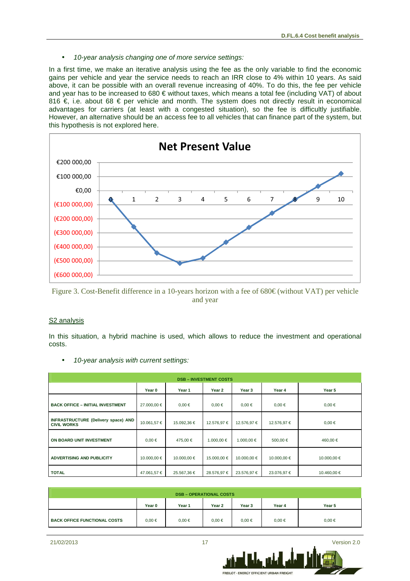#### • 10-year analysis changing one of more service settings:

In a first time, we make an iterative analysis using the fee as the only variable to find the economic gains per vehicle and year the service needs to reach an IRR close to 4% within 10 years. As said above, it can be possible with an overall revenue increasing of 40%. To do this, the fee per vehicle and year has to be increased to 680 € without taxes, which means a total fee (including VAT) of about 816  $\epsilon$ , i.e. about 68  $\epsilon$  per vehicle and month. The system does not directly result in economical advantages for carriers (at least with a congested situation), so the fee is difficultly justifiable. However, an alternative should be an access fee to all vehicles that can finance part of the system, but this hypothesis is not explored here.



Figure 3. Cost-Benefit difference in a 10-years horizon with a fee of 680€ (without VAT) per vehicle and year

# S<sub>2</sub> analysis

In this situation, a hybrid machine is used, which allows to reduce the investment and operational costs.

10-year analysis with current settings:

| <b>DSB-INVESTMENT COSTS</b>                                      |             |             |             |             |             |             |  |  |  |  |
|------------------------------------------------------------------|-------------|-------------|-------------|-------------|-------------|-------------|--|--|--|--|
|                                                                  | Year 0      | Year 1      | Year 2      | Year 3      | Year 4      | Year 5      |  |  |  |  |
| <b>BACK OFFICE - INITIAL INVESTMENT</b>                          | 27.000,00 € | $0.00 \in$  | $0.00 \in$  | $0.00 \in$  | $0,00 \in$  | $0,00 \in$  |  |  |  |  |
| <b>INFRASTRUCTURE (Delivery space) AND</b><br><b>CIVIL WORKS</b> | 10.061.57 € | 15.092,36 € | 12.576,97 € | 12.576.97 € | 12.576.97 € | $0.00 \in$  |  |  |  |  |
| ON BOARD UNIT INVESTMENT                                         | $0.00 \in$  | 475.00 €    | 1.000.00 €  | 1.000.00 €  | 500.00€     | 460.00 €    |  |  |  |  |
| <b>ADVERTISING AND PUBLICITY</b>                                 | 10.000.00 € | 10.000.00 € | 15,000,00 € | 10.000.00 € | 10.000.00 € | 10.000.00 € |  |  |  |  |
| <b>TOTAL</b>                                                     | 47.061,57 € | 25.567,36 € | 28.576,97 € | 23.576,97 € | 23.076,97 € | 10.460,00 € |  |  |  |  |

| <b>DSB - OPERATIONAL COSTS</b>                           |            |            |            |            |            |            |  |  |  |  |
|----------------------------------------------------------|------------|------------|------------|------------|------------|------------|--|--|--|--|
| Year 3<br>Year 0<br>Year 2<br>Year 4<br>Year 5<br>Year 1 |            |            |            |            |            |            |  |  |  |  |
| <b>BACK OFFICE FUNCTIONAL COSTS</b>                      | $0,00 \in$ | $0,00 \in$ | $0,00 \in$ | $0,00 \in$ | $0,00 \in$ | $0,00 \in$ |  |  |  |  |

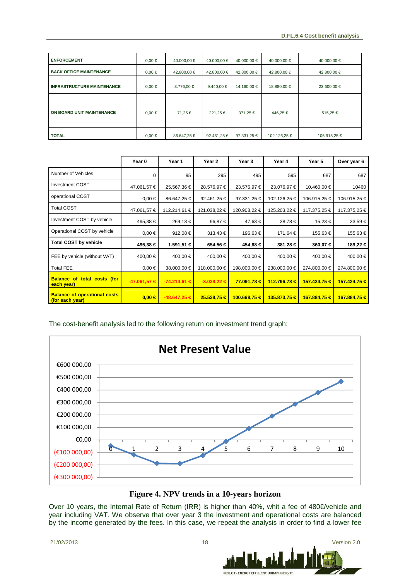| <b>ENFORCEMENT</b>                | $0.00 \in$ | 40.000.00 € | 40.000,00 €    | 40.000,00 € | 40.000,00 €  | 40.000,00 €  |
|-----------------------------------|------------|-------------|----------------|-------------|--------------|--------------|
| <b>BACK OFFICE MAINTENANCE</b>    | $0.00 \in$ | 42,800,00 € | 42,800,00 €    | 42,800,00 € | 42,800,00 €  | 42,800,00 €  |
| <b>INFRASTRUCTURE MAINTENANCE</b> | $0.00 \in$ | 3.776.00 €  | 9.440.00 $\in$ | 14.160.00 € | 18.880,00 €  | 23.600,00 €  |
| ON BOARD UNIT MAINTENANCE         | $0.00 \in$ | 71.25 €     | 221,25 €       | 371.25 €    | 446,25 €     | 515,25€      |
| <b>TOTAL</b>                      | $0,00 \in$ | 86.647.25 € | 92.461,25 €    | 97.331.25 € | 102.126,25 € | 106.915.25 € |

|                                                        | Year 0           | Year 1           | Year 2          | Year 3       | Year 4       | Year 5       | Over year 6  |
|--------------------------------------------------------|------------------|------------------|-----------------|--------------|--------------|--------------|--------------|
| Number of Vehicles                                     | 0                | 95               | 295             | 495          | 595          | 687          | 687          |
| <b>Investment COST</b>                                 | 47.061,57 €      | 25.567,36 €      | 28.576,97 €     | 23.576,97 €  | 23.076,97 €  | 10.460,00 €  | 10460        |
| operational COST                                       | $0,00 \in$       | 86.647,25 €      | 92.461,25 €     | 97.331,25 €  | 102.126,25 € | 106.915,25 € | 106.915,25 € |
| <b>Total COST</b>                                      | 47.061,57 €      | 112.214,61 €     | 121.038,22 €    | 120.908,22 € | 125.203,22 € | 117.375,25 € | 117.375,25 € |
| Investment COST by vehicle                             | 495,38 €         | 269,13 €         | 96,87 €         | 47,63 €      | 38,78 €      | 15,23 €      | 33,59€       |
| Operational COST by vehicle                            | $0,00 \in$       | 912,08 €         | 313,43 €        | 196,63 €     | 171,64 €     | 155,63 €     | 155,63 €     |
| <b>Total COST by vehicle</b>                           | 495,38 €         | 1.591,51 €       | 654,56 €        | 454,68 €     | 381,28 €     | 360,07 €     | 189,22 €     |
| FEE by vehicle (without VAT)                           | 400,00 €         | 400,00 €         | 400,00 €        | 400,00 €     | 400,00 €     | 400,00 €     | 400,00 €     |
| <b>Total FEE</b>                                       | $0,00 \in$       | 38.000,00 €      | 118.000,00 €    | 198.000,00 € | 238.000,00 € | 274.800,00 € | 274.800,00 € |
| <b>Balance of</b><br>total costs (for<br>each year)    | $-47.061,57 \in$ | $-74.214,61 \in$ | $-3.038,22 \in$ | 77.091,78 €  | 112.796,78 € | 157.424,75 € | 157.424,75 € |
| <b>Balance of operational costs</b><br>(for each year) | 0,00 €           | $-48.647,25 \in$ | 25.538,75 €     | 100.668,75 € | 135.873,75 € | 167.884,75 € | 167.884,75 € |

The cost-benefit analysis led to the following return on investment trend graph:



# **Figure 4. NPV trends in a 10-years horizon**

Over 10 years, the Internal Rate of Return (IRR) is higher than 40%, whit a fee of 480€/vehicle and year including VAT. We observe that over year 3 the investment and operational costs are balanced by the income generated by the fees. In this case, we repeat the analysis in order to find a lower fee

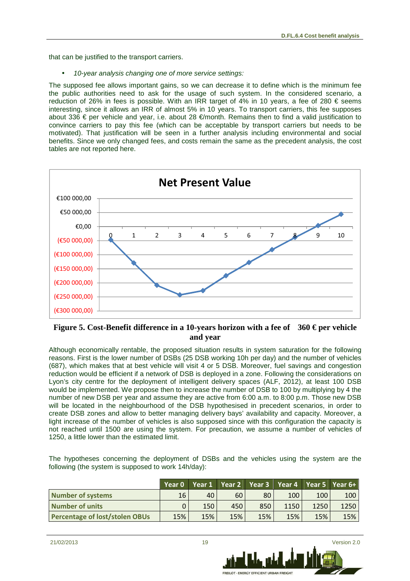that can be justified to the transport carriers.

#### • 10-year analysis changing one of more service settings:

The supposed fee allows important gains, so we can decrease it to define which is the minimum fee the public authorities need to ask for the usage of such system. In the considered scenario, a reduction of 26% in fees is possible. With an IRR target of 4% in 10 years, a fee of 280  $\epsilon$  seems interesting, since it allows an IRR of almost 5% in 10 years. To transport carriers, this fee supposes about 336 € per vehicle and year, i.e. about 28 €/month. Remains then to find a valid justification to convince carriers to pay this fee (which can be acceptable by transport carriers but needs to be motivated). That justification will be seen in a further analysis including environmental and social benefits. Since we only changed fees, and costs remain the same as the precedent analysis, the cost tables are not reported here.



# **Figure 5. Cost-Benefit difference in a 10-years horizon with a fee of 360 € per vehicle and year**

Although economically rentable, the proposed situation results in system saturation for the following reasons. First is the lower number of DSBs (25 DSB working 10h per day) and the number of vehicles (687), which makes that at best vehicle will visit 4 or 5 DSB. Moreover, fuel savings and congestion reduction would be efficient if a network of DSB is deployed in a zone. Following the considerations on Lyon's city centre for the deployment of intelligent delivery spaces (ALF, 2012), at least 100 DSB would be implemented. We propose then to increase the number of DSB to 100 by multiplying by 4 the number of new DSB per year and assume they are active from 6:00 a.m. to 8:00 p.m. Those new DSB will be located in the neighbourhood of the DSB hypothesised in precedent scenarios, in order to create DSB zones and allow to better managing delivery bays' availability and capacity. Moreover, a light increase of the number of vehicles is also supposed since with this configuration the capacity is not reached until 1500 are using the system. For precaution, we assume a number of vehicles of 1250, a little lower than the estimated limit.

The hypotheses concerning the deployment of DSBs and the vehicles using the system are the following (the system is supposed to work 14h/day):

|                                       |     |     |     |     |      |      | <b>Year 0</b> Year 1 Year 2 Year 3 Year 4 Year 5 Year 6+ |
|---------------------------------------|-----|-----|-----|-----|------|------|----------------------------------------------------------|
| Number of systems                     | 16  | 40  | 60  | 80  | 100  | 100  | 100                                                      |
| Number of units                       |     | 150 | 450 | 850 | 1150 | 1250 | 1250                                                     |
| <b>Percentage of lost/stolen OBUs</b> | 15% | 15% | 15% | 15% | 15%  | 15%  | 15%                                                      |

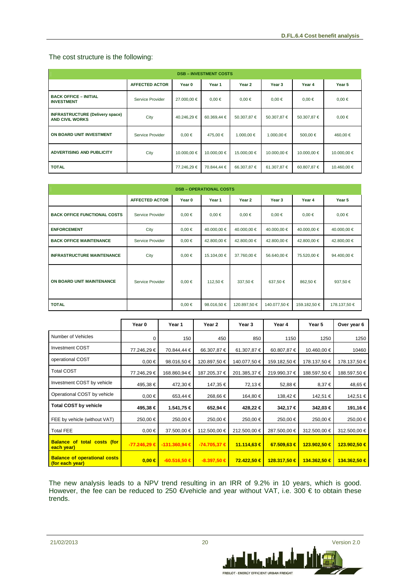# The cost structure is the following:

|                                                                  |                       |             | <b>DSB-INVESTMENT COSTS</b> |             |                   |             |             |
|------------------------------------------------------------------|-----------------------|-------------|-----------------------------|-------------|-------------------|-------------|-------------|
|                                                                  | <b>AFFECTED ACTOR</b> | Year 0      | Year 1                      | Year 2      | Year <sub>3</sub> | Year 4      | Year 5      |
| <b>BACK OFFICE - INITIAL</b><br><b>INVESTMENT</b>                | Service Provider      | 27,000,00 € | $0,00 \in$                  | $0,00 \in$  | $0.00 \in$        | $0,00 \in$  | $0,00 \in$  |
| <b>INFRASTRUCTURE (Delivery space)</b><br><b>AND CIVIL WORKS</b> | City                  | 40.246.29 € | 60.369.44 €                 | 50.307,87 € | 50.307.87 €       | 50.307,87 € | $0,00 \in$  |
| ON BOARD UNIT INVESTMENT                                         | Service Provider      | $0,00 \in$  | 475,00 €                    | 1.000.00 €  | 1.000,00 €        | 500,00 €    | 460,00 €    |
| <b>ADVERTISING AND PUBLICITY</b>                                 | City                  | 10.000,00 € | 10.000,00 €                 | 15.000,00 € | 10.000,00 €       | 10.000,00 € | 10.000,00 € |
| <b>TOTAL</b>                                                     |                       | 77.246.29 € | 70.844.44 €                 | 66.307,87 € | 61.307,87 €       | 60.807.87 € | 10.460,00 € |

|                                     |                       |            | <b>DSB-OPERATIONAL COSTS</b> |              |                   |              |              |
|-------------------------------------|-----------------------|------------|------------------------------|--------------|-------------------|--------------|--------------|
|                                     | <b>AFFECTED ACTOR</b> | Year 0     | Year 1                       | Year 2       | Year <sub>3</sub> | Year 4       | Year 5       |
| <b>BACK OFFICE FUNCTIONAL COSTS</b> | Service Provider      | $0,00 \in$ | $0,00 \in$                   | $0,00 \in$   | $0,00 \in$        | $0,00 \in$   | $0,00 \in$   |
| <b>ENFORCEMENT</b>                  | City                  | $0,00 \in$ | 40.000,00 €                  | 40.000,00 €  | 40.000,00 €       | 40.000,00 €  | 40.000,00 €  |
| <b>BACK OFFICE MAINTENANCE</b>      | Service Provider      | $0,00 \in$ | 42.800,00 €                  | 42.800,00 €  | 42.800,00 €       | 42.800,00 €  | 42.800,00 €  |
| <b>INFRASTRUCTURE MAINTENANCE</b>   | City                  | $0,00 \in$ | 15.104,00 €                  | 37.760,00 €  | 56.640,00 €       | 75.520,00 €  | 94.400,00 €  |
| ON BOARD UNIT MAINTENANCE           | Service Provider      | $0,00 \in$ | 112,50 €                     | 337,50 €     | 637,50€           | 862,50 €     | 937,50 €     |
| <b>TOTAL</b>                        |                       | $0,00 \in$ | 98.016,50 €                  | 120.897,50 € | 140.077,50 €      | 159.182,50 € | 178.137,50 € |

|                                                        | Year 0         | Year 1            | Year <sub>2</sub> | Year 3       | Year 4       | Year 5       | Over year 6  |
|--------------------------------------------------------|----------------|-------------------|-------------------|--------------|--------------|--------------|--------------|
| Number of Vehicles                                     | 0              | 150               | 450               | 850          | 1150         | 1250         | 1250         |
| <b>Investment COST</b>                                 | 77.246,29 €    | 70.844,44 €       | 66.307,87 €       | 61.307,87€   | 60.807,87 €  | 10.460,00 €  | 10460        |
| operational COST                                       | $0,00 \in$     | 98.016,50 €       | 120.897,50 €      | 140.077,50 € | 159.182,50 € | 178.137,50 € | 178.137,50 € |
| <b>Total COST</b>                                      | 77.246,29 €    | 168.860,94 €      | 187.205,37 €      | 201.385,37 € | 219.990,37 € | 188.597,50 € | 188.597,50 € |
| Investment COST by vehicle                             | 495,38 €       | 472,30 €          | 147,35 €          | 72,13 €      | 52,88 €      | 8,37€        | 48,65 €      |
| Operational COST by vehicle                            | $0,00 \in$     | 653,44 €          | 268,66 €          | 164,80 €     | 138,42 €     | 142,51 €     | 142,51 €     |
| <b>Total COST by vehicle</b>                           | 495,38 €       | 1.541,75 €        | 652,94 €          | 428,22 €     | 342,17 €     | 342,03 €     | 191,16 €     |
| FEE by vehicle (without VAT)                           | 250,00 €       | 250,00 €          | 250,00 €          | 250,00 €     | 250,00 €     | 250,00 €     | 250,00 €     |
| <b>Total FEE</b>                                       | $0.00 \in$     | 37.500,00 €       | 112.500,00 €      | 212.500,00 € | 287.500,00 € | 312.500,00 € | 312.500,00 € |
| <b>Balance of total costs (for</b><br>each year)       | $-77.246,29$ € | $-131.360,94 \in$ | $-74.705,37 \in$  | 11.114,63 €  | 67.509,63 €  | 123.902,50 € | 123.902,50 € |
| <b>Balance of operational costs</b><br>(for each year) | 0,00 €         | $-60.516,50 \in$  | $-8.397,50 \in$   | 72.422,50 €  | 128.317,50 € | 134.362,50 € | 134.362,50 € |

The new analysis leads to a NPV trend resulting in an IRR of 9.2% in 10 years, which is good. However, the fee can be reduced to 250 €/vehicle and year without VAT, i.e. 300 € to obtain these trends.

21/02/2013 20 Version 2.0

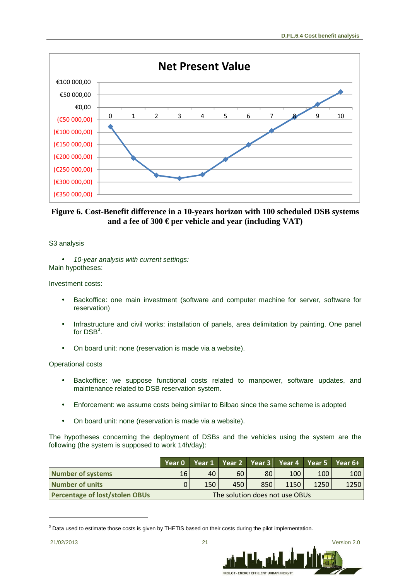

# **Figure 6. Cost-Benefit difference in a 10-years horizon with 100 scheduled DSB systems**  and a fee of  $300 \in \text{per}$  vehicle and year (including VAT)

# S3 analysis

• 10-year analysis with current settings: Main hypotheses:

Investment costs:

- Backoffice: one main investment (software and computer machine for server, software for reservation)
- Infrastructure and civil works: installation of panels, area delimitation by painting. One panel for  $\text{DSB}^3$ .
- On board unit: none (reservation is made via a website).

Operational costs

- Backoffice: we suppose functional costs related to manpower, software updates, and maintenance related to DSB reservation system.
- Enforcement: we assume costs being similar to Bilbao since the same scheme is adopted
- On board unit: none (reservation is made via a website).

The hypotheses concerning the deployment of DSBs and the vehicles using the system are the following (the system is supposed to work 14h/day):

|                                       | Year0                          |     |     |     |      |      | Year 1   Year 2   Year 3   Year 4   Year 5   Year 6+ |
|---------------------------------------|--------------------------------|-----|-----|-----|------|------|------------------------------------------------------|
| <b>Number of systems</b>              | 16                             | 40  | 60  | 80  | 100  | 100  | <b>100</b>                                           |
| Number of units                       |                                | 150 | 450 | 850 | 1150 | 1250 | 1250                                                 |
| <b>Percentage of lost/stolen OBUs</b> | The solution does not use OBUs |     |     |     |      |      |                                                      |

<sup>&</sup>lt;sup>3</sup> Data used to estimate those costs is given by THETIS based on their costs during the pilot implementation.

 $\overline{a}$ 

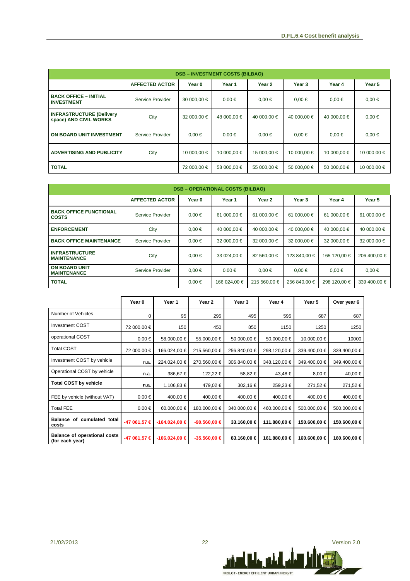|                                                           |                       |             | <b>DSB-INVESTMENT COSTS (BILBAO)</b> |             |                   |             |             |
|-----------------------------------------------------------|-----------------------|-------------|--------------------------------------|-------------|-------------------|-------------|-------------|
|                                                           | <b>AFFECTED ACTOR</b> | Year 0      | Year 1                               | Year 2      | Year <sub>3</sub> | Year 4      | Year 5      |
| <b>BACK OFFICE - INITIAL</b><br><b>INVESTMENT</b>         | Service Provider      | 30 000.00 € | $0.00 \in$                           | $0.00 \in$  | $0.00 \in$        | $0.00 \in$  | $0.00 \in$  |
| <b>INFRASTRUCTURE (Delivery</b><br>space) AND CIVIL WORKS | City                  | 32 000.00 € | 48 000.00 €                          | 40 000.00 € | 40 000.00 €       | 40 000.00 € | $0.00 \in$  |
| ON BOARD UNIT INVESTMENT                                  | Service Provider      | $0.00 \in$  | $0.00 \in$                           | $0.00 \in$  | $0.00 \in$        | $0.00 \in$  | $0,00 \in$  |
| <b>ADVERTISING AND PUBLICITY</b>                          | City                  | 10 000.00 € | 10 000.00 €                          | 15 000.00 € | 10 000.00 €       | 10 000.00 € | 10 000.00 € |
| <b>TOTAL</b>                                              |                       | 72 000.00 € | 58 000.00 €                          | 55 000.00 € | 50 000.00 €       | 50 000.00 € | 10 000.00 € |

| <b>DSB - OPERATIONAL COSTS (BILBAO)</b>       |                       |            |              |              |              |              |              |  |  |  |
|-----------------------------------------------|-----------------------|------------|--------------|--------------|--------------|--------------|--------------|--|--|--|
|                                               | <b>AFFECTED ACTOR</b> | Year 0     | Year 1       | Year 2       | Year 3       | Year 4       | Year 5       |  |  |  |
| <b>BACK OFFICE FUNCTIONAL</b><br><b>COSTS</b> | Service Provider      | $0.00 \in$ | 61 000.00 €  | 61 000.00 €  | 61 000.00 €  | 61 000.00 €  | 61 000.00 €  |  |  |  |
| <b>ENFORCEMENT</b>                            | City                  | $0.00 \in$ | 40 000.00 €  | 40 000.00 €  | 40 000.00 €  | 40 000.00 €  | 40 000.00 €  |  |  |  |
| <b>BACK OFFICE MAINTENANCE</b>                | Service Provider      | $0.00 \in$ | 32 000.00 €  | 32 000.00 €  | 32 000,00 €  | 32 000.00 €  | 32 000.00 €  |  |  |  |
| <b>INFRASTRUCTURE</b><br><b>MAINTENANCE</b>   | City                  | $0.00 \in$ | 33 024.00 €  | 82 560.00 €  | 123 840.00 € | 165 120.00 € | 206 400.00 € |  |  |  |
| <b>ON BOARD UNIT</b><br><b>MAINTENANCE</b>    | Service Provider      | $0.00 \in$ | $0.00 \in$   | $0.00 \in$   | $0.00 \in$   | $0.00 \in$   | $0.00 \in$   |  |  |  |
| <b>TOTAL</b>                                  |                       | $0.00 \in$ | 166 024.00 € | 215 560.00 € | 256 840.00 € | 298 120.00 € | 339 400.00 € |  |  |  |

|                                                        | Year 0       | Year 1            | Year 2           | Year 3       | Year 4       | Year 5       | Over year 6  |
|--------------------------------------------------------|--------------|-------------------|------------------|--------------|--------------|--------------|--------------|
| Number of Vehicles                                     | 0            | 95                | 295              | 495          | 595          | 687          | 687          |
| <b>Investment COST</b>                                 | 72 000,00 €  | 150               | 450              | 850          | 1150         | 1250         | 1250         |
| operational COST                                       | $0.00 \in$   | 58.000,00 €       | 55.000,00 €      | 50.000,00 €  | 50.000,00 €  | 10.000,00 €  | 10000        |
| <b>Total COST</b>                                      | 72 000,00 €  | 166.024,00 €      | 215.560,00 €     | 256.840,00 € | 298.120,00 € | 339.400,00 € | 339.400,00 € |
| Investment COST by vehicle                             | n.a.         | 224.024,00 €      | 270.560,00 €     | 306.840,00 € | 348.120,00 € | 349.400,00 € | 349.400,00 € |
| Operational COST by vehicle                            | n.a.         | 386,67€           | 122,22 €         | 58,82 €      | 43,48 €      | $8,00 \in$   | 40,00 €      |
| <b>Total COST by vehicle</b>                           | n.a.         | 1.106,83 €        | 479,02 €         | 302,16€      | 259,23€      | 271,52 €     | 271,52 €     |
| FEE by vehicle (without VAT)                           | $0,00 \in$   | 400,00 €          | 400,00 €         | 400,00 €     | 400,00 €     | 400,00 €     | 400,00 €     |
| <b>Total FEE</b>                                       | $0.00 \in$   | 60.000,00 €       | 180.000,00 €     | 340.000,00 € | 460.000,00 € | 500.000,00 € | 500.000,00 € |
| <b>Balance</b><br>of cumulated total<br>costs          | -47 061,57 € | $-164.024,00 \in$ | $-90.560,00 \in$ | 33.160,00 €  | 111.880,00 € | 150.600,00 € | 150.600,00 € |
| <b>Balance of operational costs</b><br>(for each year) | -47 061,57 € | $-106.024,00 \in$ | $-35.560,00 \in$ | 83.160,00 €  | 161.880,00 € | 160.600,00 € | 160.600,00 € |



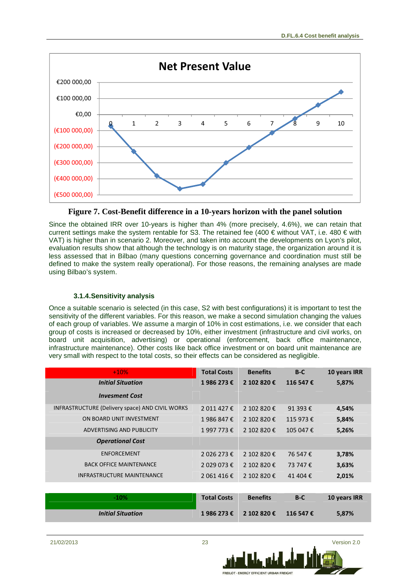

**Figure 7. Cost-Benefit difference in a 10-years horizon with the panel solution** 

Since the obtained IRR over 10-years is higher than 4% (more precisely, 4.6%), we can retain that current settings make the system rentable for S3. The retained fee (400 € without VAT, i.e. 480 € with VAT) is higher than in scenario 2. Moreover, and taken into account the developments on Lyon's pilot, evaluation results show that although the technology is on maturity stage, the organization around it is less assessed that in Bilbao (many questions concerning governance and coordination must still be defined to make the system really operational). For those reasons, the remaining analyses are made using Bilbao's system.

# **3.1.4. Sensitivity analysis**

Once a suitable scenario is selected (in this case, S2 with best configurations) it is important to test the sensitivity of the different variables. For this reason, we make a second simulation changing the values of each group of variables. We assume a margin of 10% in cost estimations, i.e. we consider that each group of costs is increased or decreased by 10%, either investment (infrastructure and civil works, on board unit acquisition, advertising) or operational (enforcement, back office maintenance, infrastructure maintenance). Other costs like back office investment or on board unit maintenance are very small with respect to the total costs, so their effects can be considered as negligible.

| $+10%$                                                 | <b>Total Costs</b> | <b>Benefits</b> | $B-C$     | 10 years IRR |
|--------------------------------------------------------|--------------------|-----------------|-----------|--------------|
| <b>Initial Situation</b>                               | 1986 273 €         | 2 102 820€      | 116 547€  | 5,87%        |
| <b>Invesment Cost</b>                                  |                    |                 |           |              |
| <b>INFRASTRUCTURE (Delivery space) AND CIVIL WORKS</b> | 2 011 427 €        | 2 102 820 €     | 91 393 €  | 4,54%        |
| ON BOARD UNIT INVESTMENT                               | 1986 847€          | 2 102 820 €     | 115 973 € | 5,84%        |
| ADVERTISING AND PUBLICITY                              | 1 997 773 €        | 2 102 820 €     | 105 047 € | 5,26%        |
| <b>Operational Cost</b>                                |                    |                 |           |              |
| <b>ENFORCEMENT</b>                                     | 2 026 273 €        | 2 102 820 €     | 76 547 €  | 3,78%        |
| <b>BACK OFFICE MAINTENANCE</b>                         | 2 029 073 €        | 2 102 820 €     | 73 747 €  | 3,63%        |
| <b>INFRASTRUCTURE MAINTENANCE</b>                      | 2 061 416 €        | 2 102 820 €     | 41 404 €  | 2,01%        |

| -10%              | <b>Total Costs</b> | <b>Benefits</b>                  | B-C | 10 years IRR |
|-------------------|--------------------|----------------------------------|-----|--------------|
| Initial Situation |                    | 1986 273 € 2 102 820 € 116 547 € |     | 5.87%        |

21/02/2013 23 Version 2.0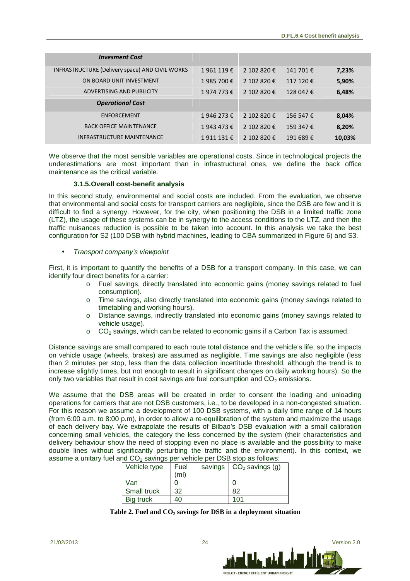| <b>Invesment Cost</b>                           |                      |             |           |        |
|-------------------------------------------------|----------------------|-------------|-----------|--------|
| INFRASTRUCTURE (Delivery space) AND CIVIL WORKS | 1 961 119 €          | 2 102 820 € | 141 701 € | 7,23%  |
| ON BOARD UNIT INVESTMENT                        | 1985 700€            | 2 102 820 € | 117 120 € | 5,90%  |
| ADVERTISING AND PUBLICITY                       | 1 974 773 €          | 2 102 820 € | 128 047 € | 6,48%  |
| <b>Operational Cost</b>                         |                      |             |           |        |
| <b>ENFORCEMENT</b>                              | 1 946 273 $\epsilon$ | 2 102 820 € | 156,547€  | 8,04%  |
| <b>BACK OFFICE MAINTENANCE</b>                  | 1 943 473 €          | 2 102 820 € | 159 347 € | 8,20%  |
| <b>INFRASTRUCTURE MAINTENANCE</b>               | 1 911 131 €          | 2 102 820 € | 191 689 € | 10,03% |

We observe that the most sensible variables are operational costs. Since in technological projects the underestimations are most important than in infrastructural ones, we define the back office maintenance as the critical variable.

#### **3.1.5. Overall cost-benefit analysis**

In this second study, environmental and social costs are included. From the evaluation, we observe that environmental and social costs for transport carriers are negligible, since the DSB are few and it is difficult to find a synergy. However, for the city, when positioning the DSB in a limited traffic zone (LTZ), the usage of these systems can be in synergy to the access conditions to the LTZ, and then the traffic nuisances reduction is possible to be taken into account. In this analysis we take the best configuration for S2 (100 DSB with hybrid machines, leading to CBA summarized in Figure 6) and S3.

• Transport company's viewpoint

First, it is important to quantify the benefits of a DSB for a transport company. In this case, we can identify four direct benefits for a carrier:

- o Fuel savings, directly translated into economic gains (money savings related to fuel consumption).
- o Time savings, also directly translated into economic gains (money savings related to timetabling and working hours).
- o Distance savings, indirectly translated into economic gains (money savings related to vehicle usage).
- $\circ$  CO<sub>2</sub> savings, which can be related to economic gains if a Carbon Tax is assumed.

Distance savings are small compared to each route total distance and the vehicle's life, so the impacts on vehicle usage (wheels, brakes) are assumed as negligible. Time savings are also negligible (less than 2 minutes per stop, less than the data collection incertitude threshold, although the trend is to increase slightly times, but not enough to result in significant changes on daily working hours). So the only two variables that result in cost savings are fuel consumption and  $CO<sub>2</sub>$  emissions.

We assume that the DSB areas will be created in order to consent the loading and unloading operations for carriers that are not DSB customers, i.e., to be developed in a non-congested situation. For this reason we assume a development of 100 DSB systems, with a daily time range of 14 hours (from 6:00 a.m. to 8:00 p.m), in order to allow a re-equilibration of the system and maximize the usage of each delivery bay. We extrapolate the results of Bilbao's DSB evaluation with a small calibration concerning small vehicles, the category the less concerned by the system (their characteristics and delivery behaviour show the need of stopping even no place is available and the possibility to make double lines without significantly perturbing the traffic and the environment). In this context, we assume a unitary fuel and  $CO<sub>2</sub>$  savings per vehicle per DSB stop as follows:

| Vehicle type | Fuel<br>(ml) | savings |     | $CO2$ savings (g) |
|--------------|--------------|---------|-----|-------------------|
| Van          |              |         |     |                   |
| Small truck  | 32           |         | R2  |                   |
| Big truck    | 40           |         | 101 |                   |

**Table 2. Fuel and CO2 savings for DSB in a deployment situation** 

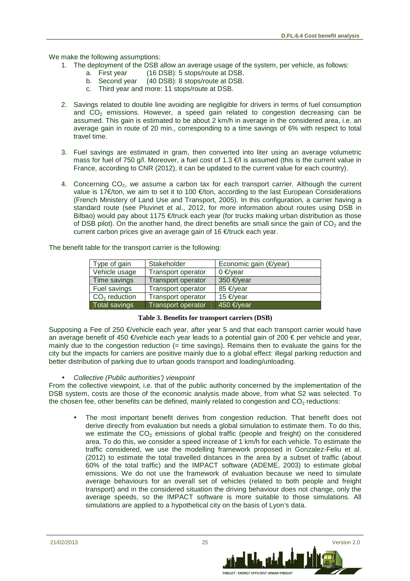We make the following assumptions:

- 1. The deployment of the DSB allow an average usage of the system, per vehicle, as follows:
	- a. First year (16 DSB): 5 stops/route at DSB.
	- b. Second year (40 DSB): 8 stops/route at DSB.
	- c. Third year and more: 11 stops/route at DSB.
- 2. Savings related to double line avoiding are negligible for drivers in terms of fuel consumption and  $CO<sub>2</sub>$  emissions. However, a speed gain related to congestion decreasing can be assumed. This gain is estimated to be about 2 km/h in average in the considered area, i.e. an average gain in route of 20 min., corresponding to a time savings of 6% with respect to total travel time.
- 3. Fuel savings are estimated in gram, then converted into liter using an average volumetric mass for fuel of 750 g/l. Moreover, a fuel cost of 1.3  $\epsilon$ /l is assumed (this is the current value in France, according to CNR (2012), it can be updated to the current value for each country).
- 4. Concerning  $CO<sub>2</sub>$ , we assume a carbon tax for each transport carrier. Although the current value is 17€/ton, we aim to set it to 100 €/ton, according to the last European Considerations (French Ministery of Land Use and Transport, 2005). In this configuration, a carrier having a standard route (see Pluvinet et al., 2012, for more information about routes using DSB in Bilbao) would pay about 1175  $\epsilon$ /truck each year (for trucks making urban distribution as those of DSB pilot). On the another hand, the direct benefits are small since the gain of  $CO<sub>2</sub>$  and the current carbon prices give an average gain of 16 €/truck each year.

The benefit table for the transport carrier is the following:

| Type of gain    | Stakeholder               | Economic gain (€/year) |
|-----------------|---------------------------|------------------------|
| Vehicle usage   | <b>Transport operator</b> | $0 \in$ /year          |
| Time savings    | <b>Transport operator</b> | 350 €/year             |
| Fuel savings    | <b>Transport operator</b> | 85 €/year              |
| $CO2$ reduction | <b>Transport operator</b> | 15 €/year              |
| Total savings   | <b>Transport operator</b> | 450 €/year             |

**Table 3. Benefits for transport carriers (DSB)** 

Supposing a Fee of 250 €/vehicle each year, after year 5 and that each transport carrier would have an average benefit of 450 €/vehicle each year leads to a potential gain of 200 € per vehicle and year, mainly due to the congestion reduction  $(=$  time savings). Remains then to evaluate the gains for the city but the impacts for carriers are positive mainly due to a global effect: illegal parking reduction and better distribution of parking due to urban goods transport and loading/unloading.

• Collective (Public authorities') viewpoint

From the collective viewpoint, i.e. that of the public authority concerned by the implementation of the DSB system, costs are those of the economic analysis made above, from what S2 was selected. To the chosen fee, other benefits can be defined, mainly related to congestion and  $CO<sub>2</sub>$  reductions:

The most important benefit derives from congestion reduction. That benefit does not derive directly from evaluation but needs a global simulation to estimate them. To do this, we estimate the  $CO<sub>2</sub>$  emissions of global traffic (people and freight) on the considered area. To do this, we consider a speed increase of 1 km/h for each vehicle. To estimate the traffic considered, we use the modelling framework proposed in Gonzalez-Feliu et al. (2012) to estimate the total travelled distances in the area by a subset of traffic (about 60% of the total traffic) and the IMPACT software (ADEME, 2003) to estimate global emissions. We do not use the framework of evaluation because we need to simulate average behaviours for an overall set of vehicles (related to both people and freight transport) and in the considered situation the driving behaviour does not change, only the average speeds, so the IMPACT software is more suitable to those simulations. All simulations are applied to a hypothetical city on the basis of Lyon's data.

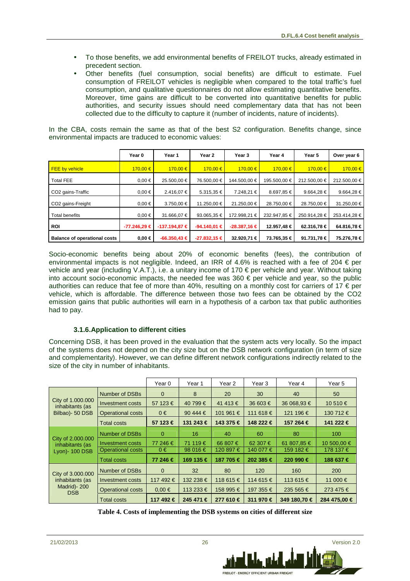- To those benefits, we add environmental benefits of FREILOT trucks, already estimated in precedent section.
- Other benefits (fuel consumption, social benefits) are difficult to estimate. Fuel consumption of FREILOT vehicles is negligible when compared to the total traffic's fuel consumption, and qualitative questionnaires do not allow estimating quantitative benefits. Moreover, time gains are difficult to be converted into quantitative benefits for public authorities, and security issues should need complementary data that has not been collected due to the difficulty to capture it (number of incidents, nature of incidents).

In the CBA, costs remain the same as that of the best S2 configuration. Benefits change, since environmental impacts are traduced to economic values:

|                                     | Year 0           | Year 1            | Year 2           | Year 3           | Year 4       | Year 5         | Over year 6    |
|-------------------------------------|------------------|-------------------|------------------|------------------|--------------|----------------|----------------|
| <b>FEE</b> by vehicle               | $170.00 \in$     | 170.00 €          | $170.00 \in$     | $170.00 \in$     | $170.00 \in$ | $170.00 \in$   | 170,00 €       |
| <b>Total FEE</b>                    | $0.00 \in I$     | 25.500.00 €       | 76.500.00 €      | 144.500.00 €     | 195.500.00 € | 212.500.00 €   | 212.500.00 €   |
| CO <sub>2</sub> gains-Traffic       | $0.00 \in$       | 2.416,07 €        | $5.315,35 \in$   | 7.248,21 €       | 8.697,85 €   | $9.664.28 \in$ | $9.664.28 \in$ |
| CO2 gains-Freight                   | $0.00 \in$       | $3.750.00 \in$    | 11.250.00 €      | 21.250.00 €      | 28.750.00 €  | 28.750.00 €    | 31.250.00 €    |
| <b>Total benefits</b>               | $0.00 \in$       | 31.666,07 €       | 93.065,35 €      | 172.998,21 €     | 232.947.85 € | 250.914.28 €   | 253.414.28 €   |
| <b>ROI</b>                          | $-77.246,29 \in$ | $-137.194.87 \in$ | $-94.140,01 \in$ | $-28.387,16 \in$ | 12.957,48 €  | 62.316,78 €    | 64.816,78 €    |
| <b>Balance of operational costs</b> | $0,00 \in$       | $-66.350.43 \in$  | $-27.832,15 \in$ | 32.920,71 €      | 73.765,35 €  | 91.731,78 €    | 75.276,78 €    |

Socio-economic benefits being about 20% of economic benefits (fees), the contribution of environmental impacts is not negligible. Indeed, an IRR of 4.6% is reached with a fee of 204  $\in$  per vehicle and year (including V.A.T.), i.e. a unitary income of 170 € per vehicle and year. Without taking into account socio-economic impacts, the needed fee was 360 € per vehicle and year, so the public authorities can reduce that fee of more than 40%, resulting on a monthly cost for carriers of 17 € per vehicle, which is affordable. The difference between those two fees can be obtained by the CO2 emission gains that public authorities will earn in a hypothesis of a carbon tax that public authorities had to pay.

# **3.1.6. Application to different cities**

Concerning DSB, it has been proved in the evaluation that the system acts very locally. So the impact of the systems does not depend on the city size but on the DSB network configuration (in term of size and complementarity). However, we can define different network configurations indirectly related to the size of the city in number of inhabitants.

|                                      |                          | Year 0     | Year 1    | Year 2    | Year 3    | Year 4       | Year 5       |
|--------------------------------------|--------------------------|------------|-----------|-----------|-----------|--------------|--------------|
|                                      | Number of DSBs           | $\Omega$   | 8         | 20        | 30        | 40           | 50           |
| City of 1.000.000<br>inhabitants (as | Investment costs         | 57 123 €   | 40 799 €  | 41 413 €  | 36 603 €  | 36 068.93 €  | 10 510 €     |
| Bilbao) - 50 DSB                     | <b>Operational costs</b> | $0 \in$    | 90 444 €  | 101 961 € | 111 618 € | 121 196 €    | 130 712 €    |
|                                      | <b>Total costs</b>       | 57 123 €   | 131 243 € | 143 375 € | 148 222 € | 157 264 €    | 141 222 €    |
|                                      | Number of DSBs           | 0          | 16        | 40        | 60        | 80           | 100          |
| City of 2.000.000<br>inhabitants (as | Investment costs         | 77 246 €   | 71 119 €  | 66 807 €  | 62 307 €  | 61 807,85 €  | 10 500,00 €  |
| Lyon)- 100 DSB                       | <b>Operational costs</b> | $0 \in$    | 98 016 €  | 120 897 € | 140 077 € | 159 182 €    | 178 137 €    |
|                                      | <b>Total costs</b>       | 77 246 €   | 169 135 € | 187 705 € | 202 385 € | 220 990 €    | 188 637 €    |
| City of 3.000.000                    | Number of DSBs           | $\Omega$   | 32        | 80        | 120       | 160          | <b>200</b>   |
| inhabitants (as                      | Investment costs         | 117 492 €  | 132 238 € | 118 615 € | 114 615 € | 113 615 €    | 11 000 €     |
| Madrid)-200<br><b>DSB</b>            | <b>Operational costs</b> | $0.00 \in$ | 113 233 € | 158 995 € | 197 355 € | 235 565 €    | 273 475 €    |
|                                      | <b>Total costs</b>       | 117 492 €  | 245 471 € | 277 610 € | 311 970 € | 349 180.70 € | 284 475.00 € |

**Table 4. Costs of implementing the DSB systems on cities of different size** 

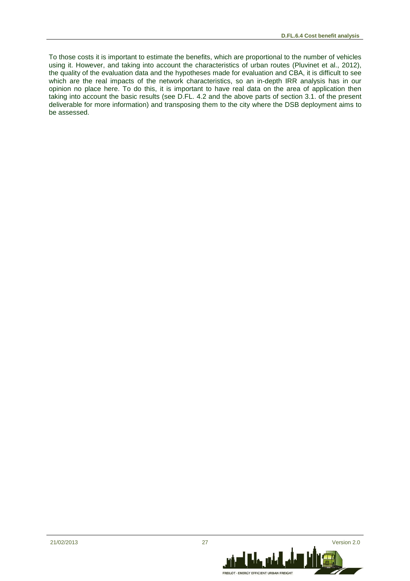To those costs it is important to estimate the benefits, which are proportional to the number of vehicles using it. However, and taking into account the characteristics of urban routes (Pluvinet et al., 2012), the quality of the evaluation data and the hypotheses made for evaluation and CBA, it is difficult to see which are the real impacts of the network characteristics, so an in-depth IRR analysis has in our opinion no place here. To do this, it is important to have real data on the area of application then taking into account the basic results (see D.FL. 4.2 and the above parts of section 3.1. of the present deliverable for more information) and transposing them to the city where the DSB deployment aims to be assessed.



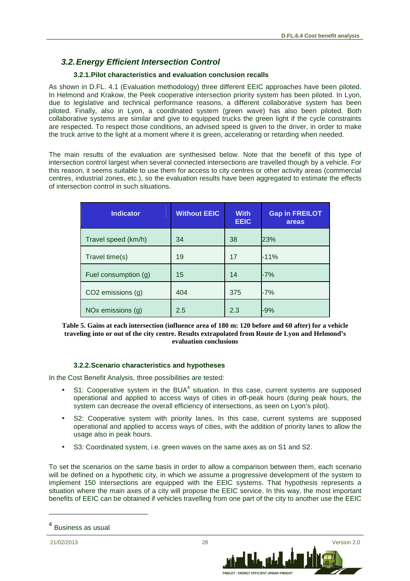# **3.2. Energy Efficient Intersection Control**

# **3.2.1. Pilot characteristics and evaluation conclusion recalls**

As shown in D.FL. 4.1 (Evaluation methodology) three different EEIC approaches have been piloted. In Helmond and Krakow, the Peek cooperative intersection priority system has been piloted. In Lyon, due to legislative and technical performance reasons, a different collaborative system has been piloted. Finally, also in Lyon, a coordinated system (green wave) has also been piloted. Both collaborative systems are similar and give to equipped trucks the green light if the cycle constraints are respected. To respect those conditions, an advised speed is given to the driver, in order to make the truck arrive to the light at a moment where it is green, accelerating or retarding when needed.

The main results of the evaluation are synthesised below. Note that the benefit of this type of intersection control largest when several connected intersections are travelled though by a vehicle. For this reason, it seems suitable to use them for access to city centres or other activity areas (commercial centres, industrial zones, etc.), so the evaluation results have been aggregated to estimate the effects of intersection control in such situations.

| <b>Indicator</b>              | <b>Without EEIC</b> | <b>With</b><br><b>EEIC</b> | <b>Gap in FREILOT</b><br>areas |
|-------------------------------|---------------------|----------------------------|--------------------------------|
| Travel speed (km/h)           | 34                  | 38                         | 23%                            |
| Travel time(s)                | 19                  | 17                         | $-11%$                         |
| Fuel consumption (g)          | 15                  | 14                         | $-7%$                          |
| CO2 emissions (g)             | 404                 | 375                        | $-7%$                          |
| NO <sub>x</sub> emissions (g) | 2.5                 | 2.3                        | -9%                            |

**Table 5. Gains at each intersection (influence area of 180 m: 120 before and 60 after) for a vehicle traveling into or out of the city centre. Results extrapolated from Route de Lyon and Helmond's evaluation conclusions** 

# **3.2.2. Scenario characteristics and hypotheses**

In the Cost Benefit Analysis, three possibilities are tested:

- S1: Cooperative system in the BUA<sup>4</sup> situation. In this case, current systems are supposed operational and applied to access ways of cities in off-peak hours (during peak hours, the system can decrease the overall efficiency of intersections, as seen on Lyon's pilot).
- S2: Cooperative system with priority lanes. In this case, current systems are supposed operational and applied to access ways of cities, with the addition of priority lanes to allow the usage also in peak hours.
- S3: Coordinated system, i.e. green waves on the same axes as on S1 and S2.

To set the scenarios on the same basis in order to allow a comparison between them, each scenario will be defined on a hypothetic city, in which we assume a progressive development of the system to implement 150 intersections are equipped with the EEIC systems. That hypothesis represents a situation where the main axes of a city will propose the EEIC service. In this way, the most important benefits of EEIC can be obtained if vehicles travelling from one part of the city to another use the EEIC

 $\overline{a}$ 



<sup>4</sup> Business as usual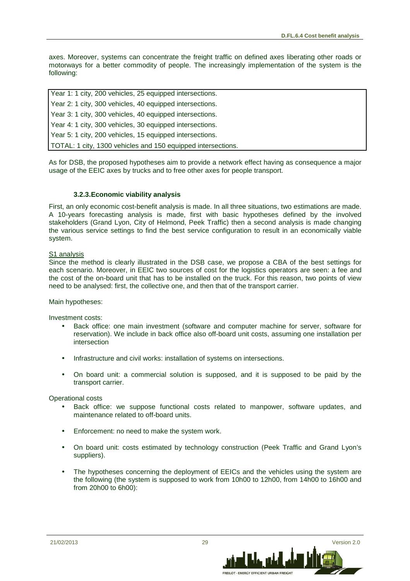axes. Moreover, systems can concentrate the freight traffic on defined axes liberating other roads or motorways for a better commodity of people. The increasingly implementation of the system is the following:

Year 1: 1 city, 200 vehicles, 25 equipped intersections. Year 2: 1 city, 300 vehicles, 40 equipped intersections. Year 3: 1 city, 300 vehicles, 40 equipped intersections. Year 4: 1 city, 300 vehicles, 30 equipped intersections. Year 5: 1 city, 200 vehicles, 15 equipped intersections. TOTAL: 1 city, 1300 vehicles and 150 equipped intersections.

As for DSB, the proposed hypotheses aim to provide a network effect having as consequence a major usage of the EEIC axes by trucks and to free other axes for people transport.

#### **3.2.3. Economic viability analysis**

First, an only economic cost-benefit analysis is made. In all three situations, two estimations are made. A 10-years forecasting analysis is made, first with basic hypotheses defined by the involved stakeholders (Grand Lyon, City of Helmond, Peek Traffic) then a second analysis is made changing the various service settings to find the best service configuration to result in an economically viable system.

#### S1 analysis

Since the method is clearly illustrated in the DSB case, we propose a CBA of the best settings for each scenario. Moreover, in EEIC two sources of cost for the logistics operators are seen: a fee and the cost of the on-board unit that has to be installed on the truck. For this reason, two points of view need to be analysed: first, the collective one, and then that of the transport carrier.

#### Main hypotheses:

Investment costs:

- Back office: one main investment (software and computer machine for server, software for reservation). We include in back office also off-board unit costs, assuming one installation per intersection
- Infrastructure and civil works: installation of systems on intersections.
- On board unit: a commercial solution is supposed, and it is supposed to be paid by the transport carrier.

Operational costs

- Back office: we suppose functional costs related to manpower, software updates, and maintenance related to off-board units.
- Enforcement: no need to make the system work.
- On board unit: costs estimated by technology construction (Peek Traffic and Grand Lyon's suppliers).
- The hypotheses concerning the deployment of EEICs and the vehicles using the system are the following (the system is supposed to work from 10h00 to 12h00, from 14h00 to 16h00 and from 20h00 to 6h00):

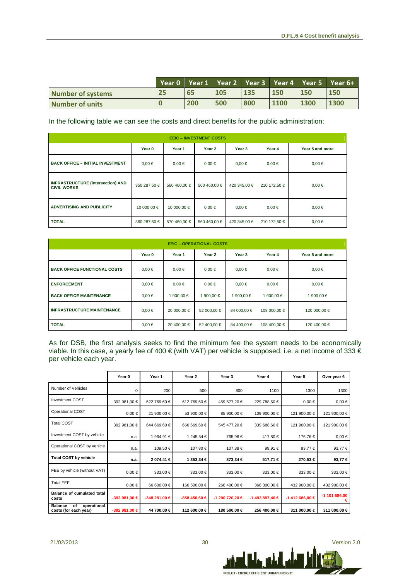|                          |    |     |     |     |            |            | Year 0   Year 1   Year 2   Year 3   Year 4   Year 5   Year 6+ |
|--------------------------|----|-----|-----|-----|------------|------------|---------------------------------------------------------------|
| <b>Number of systems</b> | 25 | 65  | 105 | 135 | <b>150</b> | <b>150</b> | <b>150</b>                                                    |
| Number of units          |    | 200 | 500 | 800 | 1100       | 1300       | 1300                                                          |

In the following table we can see the costs and direct benefits for the public administration:

| <b>EEIC - INVESTMENT COSTS</b>                                 |              |              |              |                   |              |                 |  |  |  |
|----------------------------------------------------------------|--------------|--------------|--------------|-------------------|--------------|-----------------|--|--|--|
|                                                                | Year 0       | Year 1       | Year 2       | Year <sub>3</sub> | Year 4       | Year 5 and more |  |  |  |
| <b>BACK OFFICE - INITIAL INVESTMENT</b>                        | $0.00 \in$   | $0.00 \in$   | $0,00 \in$   | $0,00 \in$        | $0,00 \in$   | $0,00 \in$      |  |  |  |
| <b>INFRASTRUCTURE (intersection) AND</b><br><b>CIVIL WORKS</b> | 350 287,50 € | 560 460,00 € | 560 460,00 € | 420 345.00 €      | 210 172,50 € | $0,00 \in$      |  |  |  |
| <b>ADVERTISING AND PUBLICITY</b>                               | 10 000,00 €  | 10 000.00 €  | $0.00 \in$   | $0,00 \in$        | $0,00 \in$   | $0,00 \in$      |  |  |  |
| <b>TOTAL</b>                                                   | 360 287,50 € | 570 460.00 € | 560 460.00 € | 420 345.00 €      | 210 172,50 € | $0,00 \in$      |  |  |  |

| <b>EEIC - OPERATIONAL COSTS</b>     |            |             |             |             |              |                 |  |  |  |
|-------------------------------------|------------|-------------|-------------|-------------|--------------|-----------------|--|--|--|
|                                     | Year 0     | Year 1      | Year 2      | Year 3      | Year 4       | Year 5 and more |  |  |  |
| <b>BACK OFFICE FUNCTIONAL COSTS</b> | $0,00 \in$ | $0.00 \in$  | $0.00 \in$  | $0.00 \in$  | $0,00 \in$   | $0.00 \in$      |  |  |  |
| <b>ENFORCEMENT</b>                  | $0.00 \in$ | $0.00 \in$  | $0.00 \in$  | $0.00 \in$  | $0.00 \in$   | $0.00 \in$      |  |  |  |
| <b>BACK OFFICE MAINTENANCE</b>      | $0,00 \in$ | 1 900.00 €  | 1 900.00 €  | 1 900.00 €  | 1 900,00 €   | 1 900.00 €      |  |  |  |
| <b>INFRASTRUCTURE MAINTENANCE</b>   | $0.00 \in$ | 20 000,00 € | 52 000.00 € | 84 000.00 € | 108 000,00 € | 120 000.00 €    |  |  |  |
| <b>TOTAL</b>                        | $0,00 \in$ | 20 400.00 € | 52 400,00 € | 84 400,00 € | 108 400,00 € | 120 400.00 €    |  |  |  |

As for DSB, the first analysis seeks to find the minimum fee the system needs to be economically viable. In this case, a yearly fee of 400 € (with VAT) per vehicle is supposed, i.e. a net income of 333 € per vehicle each year.

|                                                              | Year 0        | Year 1         | Year 2           | Year 3          | Year 4            | Year 5          | Over year 6        |
|--------------------------------------------------------------|---------------|----------------|------------------|-----------------|-------------------|-----------------|--------------------|
| Number of Vehicles                                           | $\Omega$      | 200            | 500              | 800             | 1100              | 1300            | 1300               |
| <b>Investment COST</b>                                       | 392 981,00 €  | 622 769,60 €   | 612 769,60 €     | 459 577,20 €    | 229 788,60 €      | $0.00 \in$      | $0,00 \in$         |
| <b>Operational COST</b>                                      | $0,00 \in$    | 21 900,00 €    | 53 900,00 €      | 85 900,00 €     | 109 900,00 €      | 121 900,00 €    | 121 900,00 €       |
| <b>Total COST</b>                                            | 392 981,00 €  | 644 669,60 €   | 666 669,60 €     | 545 477,20 €    | 339 688,60 €      | 121 900,00 €    | 121 900,00 €       |
| Investment COST by vehicle                                   | n.a.          | 1964,91€       | 1 245,54 €       | 765,96€         | 417,80 €          | 176,76€         | $0,00 \in$         |
| Operational COST by vehicle                                  | n.a.          | 109,50 €       | 107,80 €         | 107,38 €        | 99,91 €           | 93,77€          | 93,77 €            |
| <b>Total COST by vehicle</b>                                 | n.a.          | 2 074,41 €     | 1 353,34 €       | 873,34 €        | 517,71 €          | 270,53 €        | 93,77 €            |
| FEE by vehicle (without VAT)                                 | $0,00 \in$    | 333,00 €       | 333,00 €         | 333,00 €        | 333,00 €          | 333,00 €        | 333,00 €           |
| <b>Total FEE</b>                                             | $0,00 \in$    | 66 600,00 €    | 166 500,00 €     | 266 400,00 €    | 366 300,00 €      | 432 900,00 €    | 432 900,00 €       |
| Balance of cumulated total<br>costs                          | -392 981,00 € | $-348281,00$ € | $-858450,60 \in$ | -1 290 720,20 € | $-1$ 493 897,40 € | -1 412 686,00 € | -1 101 686,00<br>€ |
| <b>Balance</b><br>operational<br>of<br>costs (for each year) | -392 981,00 € | 44 700,00 €    | 112 600,00 €     | 180 500,00 €    | 256 400,00 €      | 311 000,00 €    | 311 000,00 €       |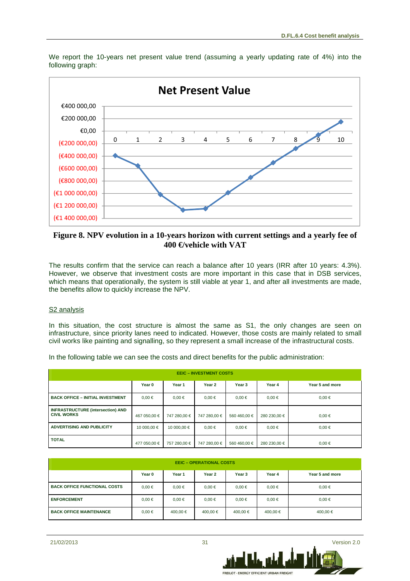

We report the 10-years net present value trend (assuming a yearly updating rate of 4%) into the following graph:

# **Figure 8. NPV evolution in a 10-years horizon with current settings and a yearly fee of 400 €/vehicle with VAT**

The results confirm that the service can reach a balance after 10 years (IRR after 10 years: 4.3%). However, we observe that investment costs are more important in this case that in DSB services, which means that operationally, the system is still viable at year 1, and after all investments are made, the benefits allow to quickly increase the NPV.

#### S2 analysis

In this situation, the cost structure is almost the same as S1, the only changes are seen on infrastructure, since priority lanes need to indicated. However, those costs are mainly related to small civil works like painting and signalling, so they represent a small increase of the infrastructural costs.

In the following table we can see the costs and direct benefits for the public administration:

| <b>EEIC - INVESTMENT COSTS</b>                                 |              |              |              |              |              |                 |  |  |
|----------------------------------------------------------------|--------------|--------------|--------------|--------------|--------------|-----------------|--|--|
|                                                                | Year 0       | Year 1       | Year 2       | Year 3       | Year 4       | Year 5 and more |  |  |
| <b>BACK OFFICE - INITIAL INVESTMENT</b>                        | $0,00 \in$   | $0,00 \in$   | $0.00 \in$   | $0.00 \in$   | $0,00 \in$   | $0,00 \in$      |  |  |
| <b>INFRASTRUCTURE (intersection) AND</b><br><b>CIVIL WORKS</b> | 467 050.00 € | 747 280.00 € | 747 280.00 € | 560 460.00 € | 280 230.00 € | $0.00 \in$      |  |  |
| <b>ADVERTISING AND PUBLICITY</b>                               | 10 000,00 €  | 10 000,00 €  | $0.00 \in$   | $0.00 \in$   | $0.00 \in$   | $0.00 \in$      |  |  |
| <b>TOTAL</b>                                                   | 477 050.00 € | 757 280.00 € | 747 280.00 € | 560 460.00 € | 280 230.00 € | $0.00 \in$      |  |  |

| <b>EEIC - OPERATIONAL COSTS</b>                                   |            |            |            |            |            |            |  |  |  |
|-------------------------------------------------------------------|------------|------------|------------|------------|------------|------------|--|--|--|
| Year 0<br>Year 1<br>Year 2<br>Year 3<br>Year 4<br>Year 5 and more |            |            |            |            |            |            |  |  |  |
| <b>BACK OFFICE FUNCTIONAL COSTS</b>                               | $0.00 \in$ | $0,00 \in$ | $0,00 \in$ | $0.00 \in$ | $0,00 \in$ | $0,00 \in$ |  |  |  |
| <b>ENFORCEMENT</b>                                                | $0,00 \in$ | $0.00 \in$ | $0.00 \in$ | $0.00 \in$ | $0,00 \in$ | $0,00 \in$ |  |  |  |
| <b>BACK OFFICE MAINTENANCE</b>                                    | $0,00 \in$ | 400,00 €   | 400,00 €   | 400,00 €   | 400,00 €   | 400,00 €   |  |  |  |

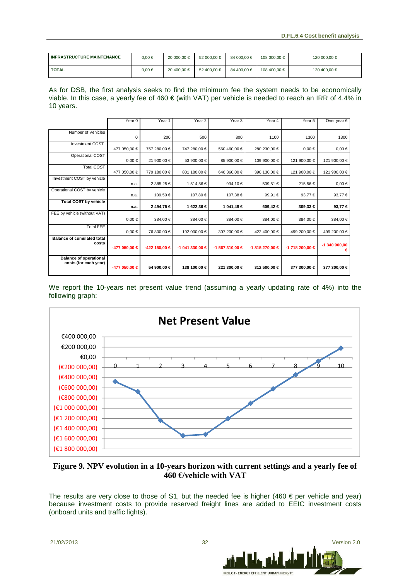| <b>INFRASTRUCTURE MAINTENANCE</b> | $0,00 \in$ | 20 000,00 € | 52 000.00 € | 84 000.00 € | 108 000.00 € | 120 000.00 € |
|-----------------------------------|------------|-------------|-------------|-------------|--------------|--------------|
| <b>TOTAL</b>                      | $0,00 \in$ | 20 400.00 € | 52 400.00 € | 84 400.00 € | 108 400.00 € | 120 400.00 € |

As for DSB, the first analysis seeks to find the minimum fee the system needs to be economically viable. In this case, a yearly fee of 460 € (with VAT) per vehicle is needed to reach an IRR of 4.4% in 10 years.

|                                                        | Year <sub>0</sub> | Year <sub>1</sub> | Year <sub>2</sub> | Year <sub>3</sub> | Year 4          | Year 5          | Over year 6     |
|--------------------------------------------------------|-------------------|-------------------|-------------------|-------------------|-----------------|-----------------|-----------------|
| Number of Vehicles                                     | 0                 | 200               | 500               | 800               | 1100            | 1300            | 1300            |
| <b>Investment COST</b>                                 | 477 050,00 €      | 757 280.00 €      | 747 280.00 €      | 560 460.00 €      | 280 230.00 €    | $0.00 \in$      | $0.00 \in$      |
| <b>Operational COST</b>                                | $0,00 \in$        | 21 900,00 €       | 53 900,00 €       | 85 900,00 €       | 109 900,00 €    | 121 900,00 €    | 121 900,00 €    |
| <b>Total COST</b>                                      | 477 050.00 €      | 779 180.00 €      | 801 180,00 €      | 646 360,00 €      | 390 130,00 €    | 121 900,00 €    | 121 900,00 €    |
| Investment COST by vehicle                             | n.a.              | 2 385,25 €        | 1514.56€          | 934.10€           | 509,51€         | 215.56€         | $0.00 \in$      |
| Operational COST by vehicle                            | n.a.              | 109,50 €          | 107,80 €          | 107,38 €          | 99,91 €         | 93,77€          | 93,77 €         |
| <b>Total COST by vehicle</b>                           | n.a.              | 2494,75€          | 1 622,36 €        | 1 041,48 €        | 609,42€         | 309,33 €        | 93,77 €         |
| FEE by vehicle (without VAT)                           | $0,00 \in$        | 384,00 €          | 384,00 €          | 384,00 €          | 384,00 €        | 384,00 €        | 384,00 €        |
| <b>Total FEE</b>                                       | $0,00 \in$        | 76 800.00 €       | 192 000,00 €      | 307 200,00 €      | 422 400,00 €    | 499 200,00 €    | 499 200,00 €    |
| <b>Balance of cumulated total</b><br>costs             | -477 050,00 €     | -422 150,00 €     | -1 041 330,00 €   | -1 567 310.00 €   | -1 815 270,00 € | -1 718 200,00 € | $-1$ 340 900,00 |
| <b>Balance of operational</b><br>costs (for each year) | $-477050,00€$     | 54 900.00 €       | 138 100,00 €      | 221 300,00 €      | 312 500,00 €    | 377 300,00 €    | 377 300.00 €    |

We report the 10-years net present value trend (assuming a yearly updating rate of 4%) into the following graph:



# **Figure 9. NPV evolution in a 10-years horizon with current settings and a yearly fee of 460 €/vehicle with VAT**

The results are very close to those of S1, but the needed fee is higher (460  $\epsilon$  per vehicle and year) because investment costs to provide reserved freight lines are added to EEIC investment costs (onboard units and traffic lights).

21/02/2013 32 Version 2.0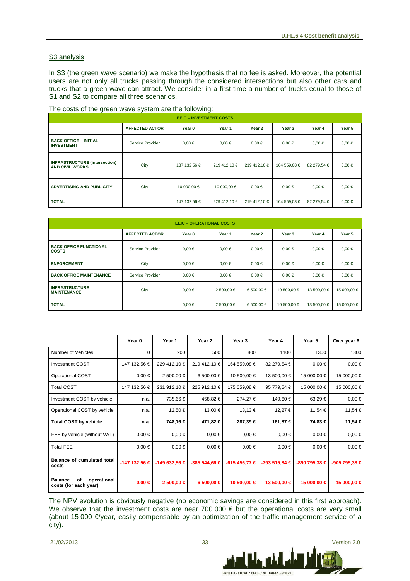# S3 analysis

In S3 (the green wave scenario) we make the hypothesis that no fee is asked. Moreover, the potential users are not only all trucks passing through the considered intersections but also other cars and trucks that a green wave can attract. We consider in a first time a number of trucks equal to those of S1 and S2 to compare all three scenarios.

| <b>EEIC - INVESTMENT COSTS</b>                                 |                       |              |              |              |              |             |            |
|----------------------------------------------------------------|-----------------------|--------------|--------------|--------------|--------------|-------------|------------|
|                                                                | <b>AFFECTED ACTOR</b> | Year 0       | Year 1       | Year 2       | Year 3       | Year 4      | Year 5     |
| <b>BACK OFFICE - INITIAL</b><br><b>INVESTMENT</b>              | Service Provider      | $0,00 \in$   | $0.00 \in$   | $0,00 \in$   | $0,00 \in$   | $0,00 \in$  | $0,00 \in$ |
| <b>INFRASTRUCTURE (intersection)</b><br><b>AND CIVIL WORKS</b> | City                  | 137 132,56 € | 219 412.10 € | 219 412.10 € | 164 559.08 € | 82 279.54 € | $0,00 \in$ |
| <b>ADVERTISING AND PUBLICITY</b>                               | City                  | 10 000,00 €  | 10 000.00 €  | $0,00 \in$   | $0,00 \in$   | $0,00 \in$  | $0,00 \in$ |
| <b>TOTAL</b>                                                   |                       | 147 132,56 € | 229 412,10 € | 219 412,10 € | 164 559,08 € | 82 279,54 € | $0,00 \in$ |

#### The costs of the green wave system are the following:

| <b>EEIC - OPERATIONAL COSTS</b>               |                       |            |            |            |             |             |             |
|-----------------------------------------------|-----------------------|------------|------------|------------|-------------|-------------|-------------|
|                                               | <b>AFFECTED ACTOR</b> | Year 0     | Year 1     | Year 2     | Year 3      | Year 4      | Year 5      |
| <b>BACK OFFICE FUNCTIONAL</b><br><b>COSTS</b> | Service Provider      | $0,00 \in$ | $0.00 \in$ | $0.00 \in$ | $0.00 \in$  | $0.00 \in$  | $0,00 \in$  |
| <b>ENFORCEMENT</b>                            | City                  | $0,00 \in$ | $0,00 \in$ | $0,00 \in$ | $0,00 \in$  | $0,00 \in$  | $0,00 \in$  |
| <b>BACK OFFICE MAINTENANCE</b>                | Service Provider      | $0.00 \in$ | $0.00 \in$ | $0.00 \in$ | $0.00 \in$  | $0.00 \in$  | $0,00 \in$  |
| <b>INFRASTRUCTURE</b><br><b>MAINTENANCE</b>   | City                  | $0,00 \in$ | 2 500.00 € | 6 500,00 € | 10 500.00 € | 13 500.00 € | 15 000.00 € |
| <b>TOTAL</b>                                  |                       | $0,00 \in$ | 2 500.00 € | 6 500,00 € | 10 500.00 € | 13 500.00 € | 15 000.00 € |

|                                                              | Year 0        | Year 1        | Year <sub>2</sub> | Year 3                 | Year 4           | Year 5          | Over year 6     |
|--------------------------------------------------------------|---------------|---------------|-------------------|------------------------|------------------|-----------------|-----------------|
| Number of Vehicles                                           | 0             | 200           | 500               | 800                    | 1100             | 1300            | 1300            |
| <b>Investment COST</b>                                       | 147 132,56 €  | 229 412,10 €  | 219 412,10 €      | 164 559,08 €           | 82 279,54 €      | $0.00 \in$      | $0,00 \in$      |
| <b>Operational COST</b>                                      | $0,00 \in$    | 2 500,00 €    | 6 500,00 €        | 10 500,00 €            | 13 500,00 €      | 15 000,00 €     | 15 000,00 €     |
| <b>Total COST</b>                                            | 147 132,56 €  | 231 912,10 €  | 225 912,10 €      | 175 059,08 €           | 95 779,54 €      | 15 000,00 €     | 15 000,00 €     |
| Investment COST by vehicle                                   | n.a.          | 735,66 €      | 458,82 €          | 274,27€                | 149,60 €         | 63,29€          | $0,00 \in$      |
| Operational COST by vehicle                                  | n.a.          | 12,50 €       | 13,00 €           | 13,13 €                | 12,27 €          | 11,54 €         | 11,54 €         |
| <b>Total COST by vehicle</b>                                 | n.a.          | 748,16 €      | 471,82 €          | 287,39 €               | 161,87 €         | 74,83 €         | 11,54 €         |
| FEE by vehicle (without VAT)                                 | $0,00 \in$    | $0,00 \in$    | $0.00 \in$        | $0,00 \in$             | $0,00 \in$       | $0,00 \in$      | $0,00 \in$      |
| <b>Total FEE</b>                                             | $0,00 \in$    | $0,00 \in$    | $0.00 \in$        | $0,00 \in$             | $0,00 \in$       | $0,00 \in$      | $0,00 \in$      |
| Balance of cumulated total<br>costs                          | -147 132,56 € | -149 632,56 € | $-385544,66 \in$  | $-615456,77 \in$       | $-793515,84 \in$ | -890 795,38 €   | -905 795,38 €   |
| <b>Balance</b><br>operational<br>οf<br>costs (for each year) | $0.00 \in$    | $-2,500,00$ € | $-6500,00 \in$    | $-10,500,00 \in \vert$ | $-13,500,00$ €   | $-15000,00 \in$ | $-15000,00 \in$ |

The NPV evolution is obviously negative (no economic savings are considered in this first approach). We observe that the investment costs are near 700 000 € but the operational costs are very small (about 15 000 €/year, easily compensable by an optimization of the traffic management service of a city).

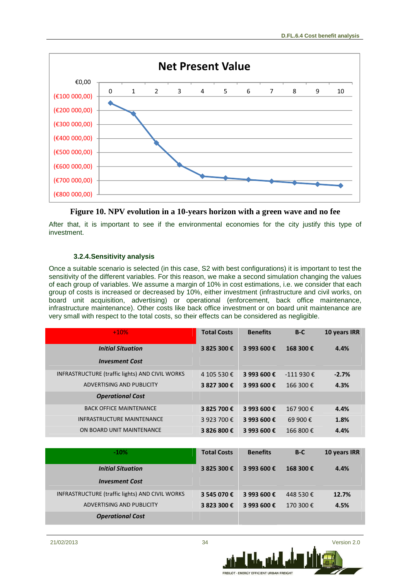



After that, it is important to see if the environmental economies for the city justify this type of investment.

# **3.2.4. Sensitivity analysis**

Once a suitable scenario is selected (in this case, S2 with best configurations) it is important to test the sensitivity of the different variables. For this reason, we make a second simulation changing the values of each group of variables. We assume a margin of 10% in cost estimations, i.e. we consider that each group of costs is increased or decreased by 10%, either investment (infrastructure and civil works, on board unit acquisition, advertising) or operational (enforcement, back office maintenance, infrastructure maintenance). Other costs like back office investment or on board unit maintenance are very small with respect to the total costs, so their effects can be considered as negligible.

| $+10%$                                          | <b>Total Costs</b> | <b>Benefits</b> | $B-C$      | 10 years IRR |
|-------------------------------------------------|--------------------|-----------------|------------|--------------|
| <b>Initial Situation</b>                        | 3 825 300 €        | 3 993 600 €     | 168 300€   | 4.4%         |
| <b>Invesment Cost</b>                           |                    |                 |            |              |
| INFRASTRUCTURE (traffic lights) AND CIVIL WORKS | 4 105 530 €        | 3 993 600 €     | $-111930€$ | $-2.7%$      |
| ADVERTISING AND PUBLICITY                       | 3 827 300 €        | 3 993 600 €     | 166 300€   | 4.3%         |
| <b>Operational Cost</b>                         |                    |                 |            |              |
| <b>BACK OFFICE MAINTENANCE</b>                  | 3 825 700 €        | 3 993 600 €     | 167 900€   | 4.4%         |
| <b>INFRASTRUCTURE MAINTENANCE</b>               | 3 923 700 €        | 3 993 600 €     | 69 900 €   | 1.8%         |
| ON BOARD UNIT MAINTENANCE                       | 3 826 800 €        | 3 993 600 €     | 166 800€   | 4.4%         |
|                                                 |                    |                 |            |              |
| $-10%$                                          | <b>Total Costs</b> | <b>Benefits</b> | $B-C$      | 10 years IRR |
| <b>Initial Situation</b>                        | 3 825 300 €        | 3 993 600€      | 168 300€   | 4.4%         |
| <b>Invesment Cost</b>                           |                    |                 |            |              |
| INFRASTRUCTURE (traffic lights) AND CIVIL WORKS | 3 545 070 €        | 3 993 600 €     | 448 530 €  | 12.7%        |
| ADVERTISING AND PUBLICITY                       | 3 823 300 €        | 3 993 600 €     | 170 300€   | 4.5%         |
| <b>Operational Cost</b>                         |                    |                 |            |              |

21/02/2013 34 Version 2.0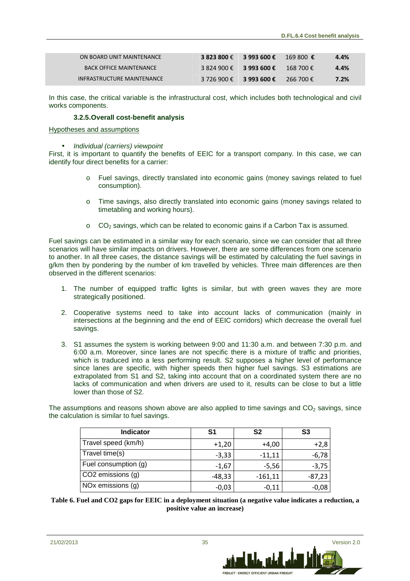| ON BOARD UNIT MAINTENANCE      | 3 823 800 $\epsilon$ 3 993 600 $\epsilon$ 169 800 $\epsilon$ |                  | $4.4\%$ |
|--------------------------------|--------------------------------------------------------------|------------------|---------|
| <b>BACK OFFICE MAINTENANCE</b> | $3,824,900 \in$ 3.993,600€                                   | $168,700 \notin$ | $4.4\%$ |
| INFRASTRUCTURE MAINTENANCE     | 3 726 900 € 3 993 600 €                                      | 266 700 €        | $7.2\%$ |

In this case, the critical variable is the infrastructural cost, which includes both technological and civil works components.

# **3.2.5. Overall cost-benefit analysis**

Hypotheses and assumptions

• Individual (carriers) viewpoint

First, it is important to quantify the benefits of EEIC for a transport company. In this case, we can identify four direct benefits for a carrier:

- Fuel savings, directly translated into economic gains (money savings related to fuel consumption).
- o Time savings, also directly translated into economic gains (money savings related to timetabling and working hours).
- $\circ$  CO<sub>2</sub> savings, which can be related to economic gains if a Carbon Tax is assumed.

Fuel savings can be estimated in a similar way for each scenario, since we can consider that all three scenarios will have similar impacts on drivers. However, there are some differences from one scenario to another. In all three cases, the distance savings will be estimated by calculating the fuel savings in g/km then by pondering by the number of km travelled by vehicles. Three main differences are then observed in the different scenarios:

- 1. The number of equipped traffic lights is similar, but with green waves they are more strategically positioned.
- 2. Cooperative systems need to take into account lacks of communication (mainly in intersections at the beginning and the end of EEIC corridors) which decrease the overall fuel savings.
- 3. S1 assumes the system is working between 9:00 and 11:30 a.m. and between 7:30 p.m. and 6:00 a.m. Moreover, since lanes are not specific there is a mixture of traffic and priorities, which is traduced into a less performing result. S2 supposes a higher level of performance since lanes are specific, with higher speeds then higher fuel savings. S3 estimations are extrapolated from S1 and S2, taking into account that on a coordinated system there are no lacks of communication and when drivers are used to it, results can be close to but a little lower than those of S2.

The assumptions and reasons shown above are also applied to time savings and  $CO<sub>2</sub>$  savings, since the calculation is similar to fuel savings.

| <b>Indicator</b>     | S1       | S2        | S3       |
|----------------------|----------|-----------|----------|
| Travel speed (km/h)  | $+1,20$  | +4,00     | $+2,8$   |
| Travel time(s)       | $-3,33$  | $-11,11$  | $-6,78$  |
| Fuel consumption (g) | $-1,67$  | $-5,56$   | $-3,75$  |
| CO2 emissions (g)    | $-48,33$ | $-161,11$ | $-87,23$ |
| NOx emissions (g)    | $-0,03$  | $-0,11$   | $-0,08$  |

**Table 6. Fuel and CO2 gaps for EEIC in a deployment situation (a negative value indicates a reduction, a positive value an increase)** 

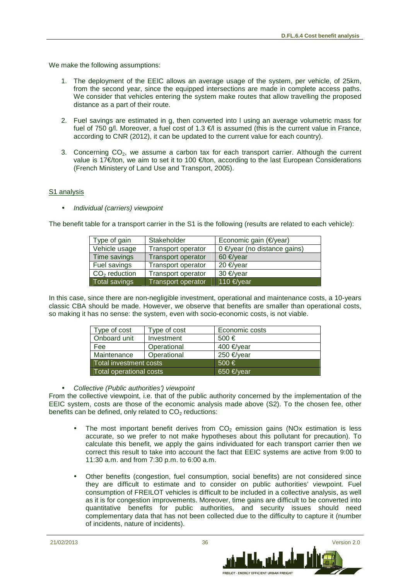We make the following assumptions:

- 1. The deployment of the EEIC allows an average usage of the system, per vehicle, of 25km, from the second year, since the equipped intersections are made in complete access paths. We consider that vehicles entering the system make routes that allow travelling the proposed distance as a part of their route.
- 2. Fuel savings are estimated in g, then converted into l using an average volumetric mass for fuel of 750 g/l. Moreover, a fuel cost of 1.3  $\notin$ /l is assumed (this is the current value in France, according to CNR (2012), it can be updated to the current value for each country).
- 3. Concerning  $CO<sub>2</sub>$ , we assume a carbon tax for each transport carrier. Although the current value is 17€/ton, we aim to set it to 100 €/ton, according to the last European Considerations (French Ministery of Land Use and Transport, 2005).

#### S1 analysis

• Individual (carriers) viewpoint

The benefit table for a transport carrier in the S1 is the following (results are related to each vehicle):

| Type of gain    | Stakeholder               | Economic gain (€/year)            |
|-----------------|---------------------------|-----------------------------------|
| Vehicle usage   | <b>Transport operator</b> | $0 \in$ /year (no distance gains) |
| Time savings    | <b>Transport operator</b> | 60 $\epsilon$ /year               |
| Fuel savings    | <b>Transport operator</b> | 20 €/year                         |
| $CO2$ reduction | <b>Transport operator</b> | 30 €/year                         |
| Total savings   | Transport operator        | 110 €/year                        |

In this case, since there are non-negligible investment, operational and maintenance costs, a 10-years classic CBA should be made. However, we observe that benefits are smaller than operational costs, so making it has no sense: the system, even with socio-economic costs, is not viable.

| Type of cost            | Type of cost | Economic costs       |
|-------------------------|--------------|----------------------|
| Onboard unit            | Investment   | $500 \in$            |
| Fee                     | Operational  | 400 €/year           |
| Maintenance             | Operational  | 250 €/year           |
| Total investment costs  |              | $500 \in$            |
| Total operational costs |              | 650 $\epsilon$ /year |

#### • Collective (Public authorities') viewpoint

From the collective viewpoint, i.e. that of the public authority concerned by the implementation of the EEIC system, costs are those of the economic analysis made above (S2). To the chosen fee, other benefits can be defined, only related to  $CO<sub>2</sub>$  reductions:

- The most important benefit derives from  $CO<sub>2</sub>$  emission gains (NOx estimation is less accurate, so we prefer to not make hypotheses about this pollutant for precaution). To calculate this benefit, we apply the gains individuated for each transport carrier then we correct this result to take into account the fact that EEIC systems are active from 9:00 to 11:30 a.m. and from 7:30 p.m. to 6:00 a.m.
- Other benefits (congestion, fuel consumption, social benefits) are not considered since they are difficult to estimate and to consider on public authorities' viewpoint. Fuel consumption of FREILOT vehicles is difficult to be included in a collective analysis, as well as it is for congestion improvements. Moreover, time gains are difficult to be converted into quantitative benefits for public authorities, and security issues should need complementary data that has not been collected due to the difficulty to capture it (number of incidents, nature of incidents).

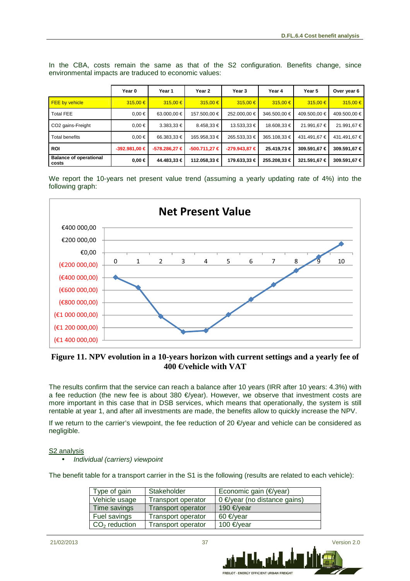|                                        | Year 0            | Year 1            | Year 2            | Year 3            | Year 4       | Year 5       | Over year 6  |
|----------------------------------------|-------------------|-------------------|-------------------|-------------------|--------------|--------------|--------------|
| <b>FEE</b> by vehicle                  | $315.00 \in$      | 315.00 $\epsilon$ | $315.00 \in$      | 315.00 $\epsilon$ | $315.00 \in$ | $315.00 \in$ | $315,00$ €   |
| <b>Total FEE</b>                       | $0,00 \in$        | 63.000.00 €       | 157.500,00 €      | 252.000.00 €      | 346.500.00 € | 409.500.00 € | 409.500,00 € |
| CO2 gains-Freight                      | $0,00 \in$        | $3.383.33 \in$    | $8.458.33 \in$    | 13.533.33 €       | 18.608.33 €  | 21.991.67 €  | 21.991.67 €  |
| Total benefits                         | $0.00 \in$        | 66.383.33 €       | 165.958.33 €      | 265.533.33 €      | 365.108,33 € | 431.491.67 € | 431.491,67 € |
| <b>ROI</b>                             | $-392.981.00 \in$ | $-578.286.27 \in$ | $-500.711.27 \in$ | $-279.943.87 \in$ | 25.419,73 €  | 309.591,67 € | 309.591,67 € |
| <b>Balance of operational</b><br>costs | 0,00 ∈ I          | 44.483,33 €       | 112.058,33 €      | 179.633,33 €      | 255.208,33 € | 321.591,67 € | 309.591,67 € |

In the CBA, costs remain the same as that of the S2 configuration. Benefits change, since environmental impacts are traduced to economic values:

We report the 10-years net present value trend (assuming a yearly updating rate of 4%) into the following graph:



# **Figure 11. NPV evolution in a 10-years horizon with current settings and a yearly fee of 400 €/vehicle with VAT**

The results confirm that the service can reach a balance after 10 years (IRR after 10 years: 4.3%) with a fee reduction (the new fee is about 380 €/year). However, we observe that investment costs are more important in this case that in DSB services, which means that operationally, the system is still rentable at year 1, and after all investments are made, the benefits allow to quickly increase the NPV.

If we return to the carrier's viewpoint, the fee reduction of 20 €/year and vehicle can be considered as negligible.

# S2 analysis

• Individual (carriers) viewpoint

The benefit table for a transport carrier in the S1 is the following (results are related to each vehicle):

| Type of gain    | Stakeholder               | Economic gain (€/year)            |
|-----------------|---------------------------|-----------------------------------|
| Vehicle usage   | <b>Transport operator</b> | $0 \in$ /year (no distance gains) |
| Time savings    | Transport operator        | 190 €/year                        |
| Fuel savings    | <b>Transport operator</b> | 60 €/year                         |
| $CO2$ reduction | Transport operator        | 100 €/year                        |
|                 |                           |                                   |

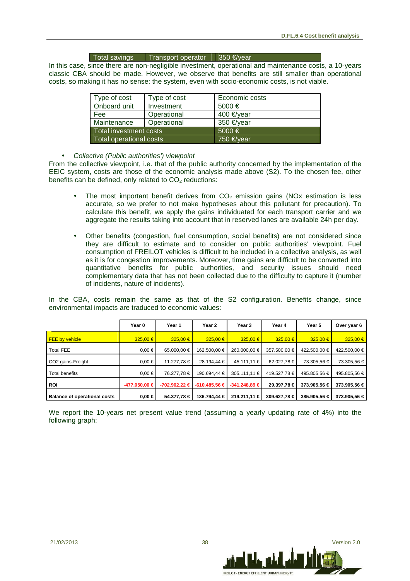#### Total savings  $\parallel$  Transport operator 350  $\epsilon$ /year

In this case, since there are non-negligible investment, operational and maintenance costs, a 10-years classic CBA should be made. However, we observe that benefits are still smaller than operational costs, so making it has no sense: the system, even with socio-economic costs, is not viable.

| Type of cost            | Type of cost | Economic costs       |
|-------------------------|--------------|----------------------|
| Onboard unit            | Investment   | 5000€                |
| Fee                     | Operational  | 400 €/year           |
| Maintenance             | Operational  | 350 €/year           |
| Total investment costs  |              | $5000 \in$           |
| Total operational costs |              | 750 $\epsilon$ /year |

• Collective (Public authorities') viewpoint

From the collective viewpoint, i.e. that of the public authority concerned by the implementation of the EEIC system, costs are those of the economic analysis made above (S2). To the chosen fee, other benefits can be defined, only related to  $CO<sub>2</sub>$  reductions:

- The most important benefit derives from  $CO<sub>2</sub>$  emission gains (NOx estimation is less accurate, so we prefer to not make hypotheses about this pollutant for precaution). To calculate this benefit, we apply the gains individuated for each transport carrier and we aggregate the results taking into account that in reserved lanes are available 24h per day.
- Other benefits (congestion, fuel consumption, social benefits) are not considered since they are difficult to estimate and to consider on public authorities' viewpoint. Fuel consumption of FREILOT vehicles is difficult to be included in a collective analysis, as well as it is for congestion improvements. Moreover, time gains are difficult to be converted into quantitative benefits for public authorities, and security issues should need complementary data that has not been collected due to the difficulty to capture it (number of incidents, nature of incidents).

In the CBA, costs remain the same as that of the S2 configuration. Benefits change, since environmental impacts are traduced to economic values:

|                                     | Year 0            | Year 1        | Year 2            | Year 3            | Year 4       | Year 5       | Over year 6  |
|-------------------------------------|-------------------|---------------|-------------------|-------------------|--------------|--------------|--------------|
| <b>FEE</b> by vehicle               | $325.00 \in$      | $325.00 \in$  | $325.00 \in$      | $325.00 \in$      | $325.00 \in$ | $325.00 \in$ | $325,00$ €   |
| <b>Total FEE</b>                    | $0.00 \in$        | 65.000.00 €   | 162.500,00 €      | 260.000,00 €      | 357.500,00 € | 422.500.00 € | 422.500,00 € |
| CO2 gains-Freight                   | $0.00 \in$        | 11.277.78 €   | 28.194.44 €       | 45.111.11 €       | 62.027.78 €  | 73.305.56 €  | 73.305,56 €  |
| <b>Total benefits</b>               | $0.00 \in$        | 76.277.78 €   | 190.694,44 €      | 305.111,11 €      | 419.527.78 € | 495.805.56 € | 495.805.56 € |
| <b>ROI</b>                          | $-477.050,00 \in$ | -702.902.22 € | $-610.485,56 \in$ | $-341.248.89 \in$ | 29.397,78 €  | 373.905,56 € | 373.905,56 € |
| <b>Balance of operational costs</b> | 0,00 ∈            | 54.377,78 €   | 136.794,44 €      | 219.211,11 €      | 309.627,78 € | 385.905,56 € | 373.905,56 € |

We report the 10-years net present value trend (assuming a yearly updating rate of 4%) into the following graph:



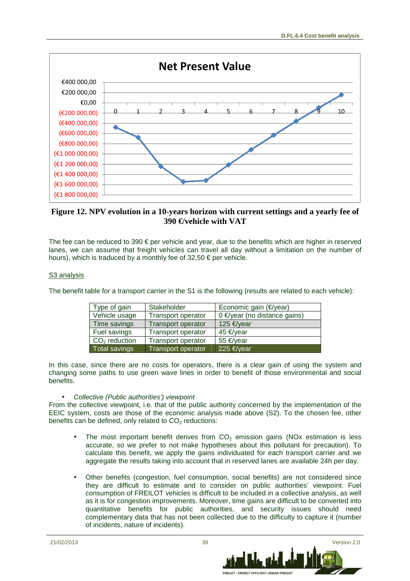

# **Figure 12. NPV evolution in a 10-years horizon with current settings and a yearly fee of 390 €/vehicle with VAT**

The fee can be reduced to 390  $\epsilon$  per vehicle and year, due to the benefits which are higher in reserved lanes, we can assume that freight vehicles can travel all day without a limitation on the number of hours), which is traduced by a monthly fee of  $32,50 \in$  per vehicle.

#### S3 analysis

The benefit table for a transport carrier in the S1 is the following (results are related to each vehicle):

| Type of gain    | Stakeholder               | Economic gain (€/year)            |
|-----------------|---------------------------|-----------------------------------|
| Vehicle usage   | <b>Transport operator</b> | $0 \in$ /year (no distance gains) |
| Time savings    | <b>Transport operator</b> | 125 €/year                        |
| Fuel savings    | <b>Transport operator</b> | 45 €/year                         |
| $CO2$ reduction | <b>Transport operator</b> | 55 €/year                         |
| Total savings   | <b>Transport operator</b> | 225 €/year                        |

In this case, since there are no costs for operators, there is a clear gain of using the system and changing some paths to use green wave lines in order to benefit of those environmental and social benefits.

# • Collective (Public authorities') viewpoint

From the collective viewpoint, i.e. that of the public authority concerned by the implementation of the EEIC system, costs are those of the economic analysis made above (S2). To the chosen fee, other benefits can be defined, only related to  $CO<sub>2</sub>$  reductions:

- The most important benefit derives from  $CO<sub>2</sub>$  emission gains (NOx estimation is less accurate, so we prefer to not make hypotheses about this pollutant for precaution). To calculate this benefit, we apply the gains individuated for each transport carrier and we aggregate the results taking into account that in reserved lanes are available 24h per day.
- Other benefits (congestion, fuel consumption, social benefits) are not considered since they are difficult to estimate and to consider on public authorities' viewpoint. Fuel consumption of FREILOT vehicles is difficult to be included in a collective analysis, as well as it is for congestion improvements. Moreover, time gains are difficult to be converted into quantitative benefits for public authorities, and security issues should need complementary data that has not been collected due to the difficulty to capture it (number of incidents, nature of incidents).

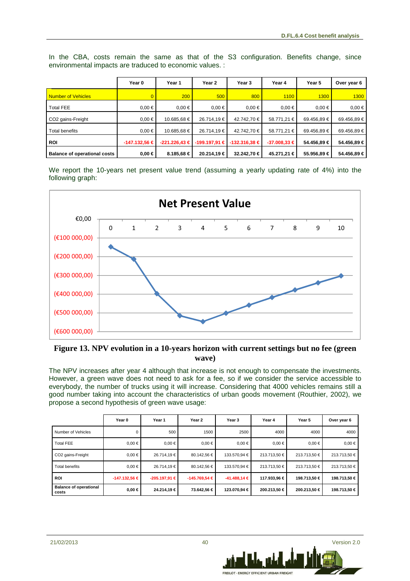|  |  |                                                          |  |  |  | In the CBA, costs remain the same as that of the S3 configuration. Benefits change, since |  |  |
|--|--|----------------------------------------------------------|--|--|--|-------------------------------------------------------------------------------------------|--|--|
|  |  | environmental impacts are traduced to economic values. : |  |  |  |                                                                                           |  |  |

|                                     | Year 0         | Year 1            | Year 2            | Year 3            | Year 4           | Year 5          | Over year 6 |
|-------------------------------------|----------------|-------------------|-------------------|-------------------|------------------|-----------------|-------------|
| Number of Vehicles                  | $\overline{0}$ | 200               | 500               | 800               | 1100             | 1300            | 1300        |
| <b>Total FEE</b>                    | $0.00 \in$     | $0.00 \in$        | $0.00 \in$        | $0.00 \in$        | $0.00 \in$       | $0.00 \in$      | $0.00 \in$  |
| CO2 gains-Freight                   | $0.00 \in$     | 10.685.68 €       | 26.714.19 €       | 42.742.70 €       | 58.771.21 €      | 69.456.89 €     | 69.456.89 € |
| <b>Total benefits</b>               | $0.00 \in$     | 10.685.68 €       | 26.714,19 €       | 42.742.70 €       | 58.771,21 €      | 69.456.89 €     | 69.456.89 € |
| <b>ROI</b>                          | -147.132,56 €  | $-221.226.43 \in$ | $-199.197.91 \in$ | $-132.316,38 \in$ | $-37.008,33 \in$ | 54.456.89 €     | 54.456.89 € |
| <b>Balance of operational costs</b> | 0.00 ∈         | $8.185,68 \in$    | 20.214,19 €       | 32.242.70 €       | 45.271,21 €      | $55.956,89 \in$ | 54.456,89 € |

We report the 10-years net present value trend (assuming a yearly updating rate of 4%) into the following graph:



# **Figure 13. NPV evolution in a 10-years horizon with current settings but no fee (green wave)**

The NPV increases after year 4 although that increase is not enough to compensate the investments. However, a green wave does not need to ask for a fee, so if we consider the service accessible to everybody, the number of trucks using it will increase. Considering that 4000 vehicles remains still a good number taking into account the characteristics of urban goods movement (Routhier, 2002), we propose a second hypothesis of green wave usage:

|                                        | Year 0            | Year 1            | Year 2            | Year 3           | Year 4       | Year 5       | Over year 6  |
|----------------------------------------|-------------------|-------------------|-------------------|------------------|--------------|--------------|--------------|
| Number of Vehicles                     |                   | 500               | 1500              | 2500             | 4000         | 4000         | 4000         |
| <b>Total FEE</b>                       | $0.00 \in$        | $0.00 \in$        | $0.00 \in$        | $0.00 \in$       | $0.00 \in$   | $0.00 \in$   | $0.00 \in$   |
| CO2 gains-Freight                      | $0.00 \in I$      | 26.714.19 €       | 80.142.56 €       | 133.570.94 €     | 213.713.50 € | 213.713.50 € | 213.713.50 € |
| Total benefits                         | $0.00 \in$        | 26.714.19 €       | 80.142.56 €       | 133.570.94 €     | 213.713.50 € | 213.713.50 € | 213.713.50 € |
| <b>ROI</b>                             | $-147.132,56 \in$ | $-205.197.91 \in$ | $-145.769.54 \in$ | $-41.488.14 \in$ | 117.933.96 € | 198.713.50 € | 198.713.50 € |
| <b>Balance of operational</b><br>costs | 0.00 ∈            | 24.214.19 €       | 73.642.56 €       | 123.070.94 €     | 200.213.50 € | 200.213.50 € | 198.713.50 € |

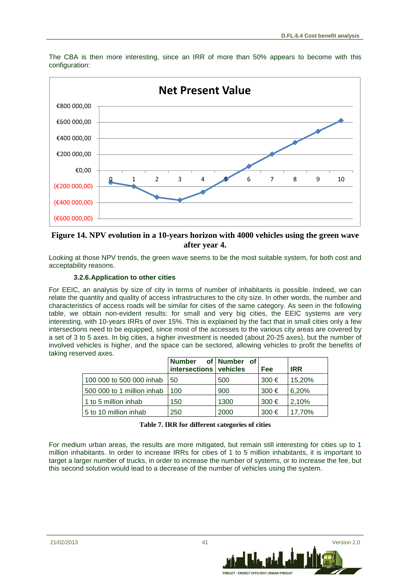

The CBA is then more interesting, since an IRR of more than 50% appears to become with this configuration:

# **Figure 14. NPV evolution in a 10-years horizon with 4000 vehicles using the green wave after year 4.**

Looking at those NPV trends, the green wave seems to be the most suitable system, for both cost and acceptability reasons.

# **3.2.6. Application to other cities**

For EEIC, an analysis by size of city in terms of number of inhabitants is possible. Indeed, we can relate the quantity and quality of access infrastructures to the city size. In other words, the number and characteristics of access roads will be similar for cities of the same category. As seen in the following table, we obtain non-evident results: for small and very big cities, the EEIC systems are very interesting, with 10-years IRRs of over 15%. This is explained by the fact that in small cities only a few intersections need to be equipped, since most of the accesses to the various city areas are covered by a set of 3 to 5 axes. In big cities, a higher investment is needed (about 20-25 axes), but the number of involved vehicles is higher, and the space can be sectored, allowing vehicles to profit the benefits of taking reserved axes.

|                            | Number of Number of    |      |           |            |
|----------------------------|------------------------|------|-----------|------------|
|                            | intersections vehicles |      | Fee       | <b>IRR</b> |
| 100 000 to 500 000 inhab   | 50                     | 500  | $300 \in$ | 15,20%     |
| 500 000 to 1 million inhab | 100                    | 900  | $300 \in$ | 6,20%      |
| 1 to 5 million inhab       | 150                    | 1300 | $300 \in$ | 2,10%      |
| 5 to 10 million inhab      | 250                    | 2000 | $300 \in$ | 17,70%     |

# **Table 7. IRR for different categories of cities**

For medium urban areas, the results are more mitigated, but remain still interesting for cities up to 1 million inhabitants. In order to increase IRRs for cities of 1 to 5 million inhabitants, it is important to target a larger number of trucks, in order to increase the number of systems, or to increase the fee, but this second solution would lead to a decrease of the number of vehicles using the system.

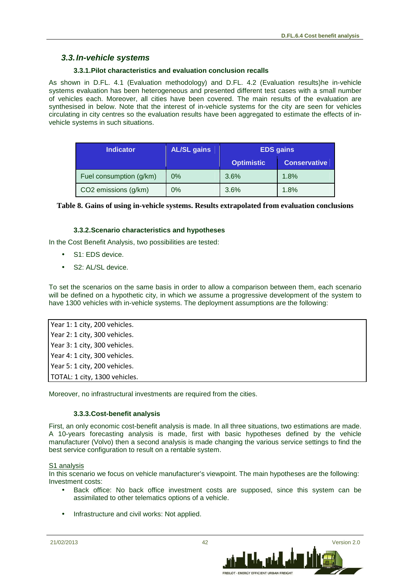# **3.3. In-vehicle systems**

## **3.3.1. Pilot characteristics and evaluation conclusion recalls**

As shown in D.FL. 4.1 (Evaluation methodology) and D.FL. 4.2 (Evaluation results)he in-vehicle systems evaluation has been heterogeneous and presented different test cases with a small number of vehicles each. Moreover, all cities have been covered. The main results of the evaluation are synthesised in below. Note that the interest of in-vehicle systems for the city are seen for vehicles circulating in city centres so the evaluation results have been aggregated to estimate the effects of invehicle systems in such situations.

| <b>Indicator</b>        | <b>AL/SL gains</b> | <b>EDS</b> gains  |                     |
|-------------------------|--------------------|-------------------|---------------------|
|                         |                    | <b>Optimistic</b> | <b>Conservative</b> |
| Fuel consumption (g/km) | 0%                 | 3.6%              | 1.8%                |
| CO2 emissions (g/km)    | $0\%$              | 3.6%              | 1.8%                |

**Table 8. Gains of using in-vehicle systems. Results extrapolated from evaluation conclusions** 

#### **3.3.2. Scenario characteristics and hypotheses**

In the Cost Benefit Analysis, two possibilities are tested:

- S1: EDS device
- S2: AL/SL device.

To set the scenarios on the same basis in order to allow a comparison between them, each scenario will be defined on a hypothetic city, in which we assume a progressive development of the system to have 1300 vehicles with in-vehicle systems. The deployment assumptions are the following:

Year 1: 1 city, 200 vehicles. Year 2: 1 city, 300 vehicles. Year 3: 1 city, 300 vehicles. Year 4: 1 city, 300 vehicles. Year 5: 1 city, 200 vehicles. TOTAL: 1 city, 1300 vehicles.

Moreover, no infrastructural investments are required from the cities.

# **3.3.3. Cost-benefit analysis**

First, an only economic cost-benefit analysis is made. In all three situations, two estimations are made. A 10-years forecasting analysis is made, first with basic hypotheses defined by the vehicle manufacturer (Volvo) then a second analysis is made changing the various service settings to find the best service configuration to result on a rentable system.

#### S1 analysis

In this scenario we focus on vehicle manufacturer's viewpoint. The main hypotheses are the following: Investment costs:

- Back office: No back office investment costs are supposed, since this system can be assimilated to other telematics options of a vehicle.
- Infrastructure and civil works: Not applied.

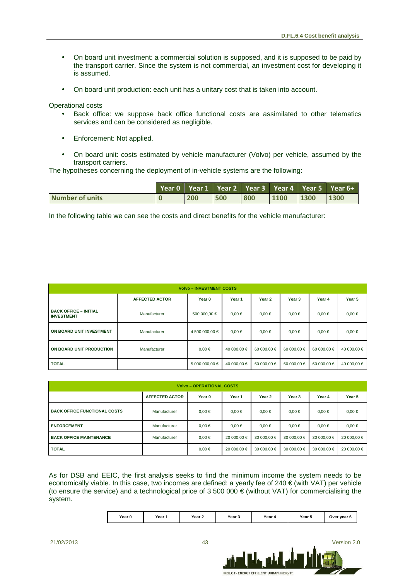- On board unit investment: a commercial solution is supposed, and it is supposed to be paid by the transport carrier. Since the system is not commercial, an investment cost for developing it is assumed.
- On board unit production: each unit has a unitary cost that is taken into account.

Operational costs

- Back office: we suppose back office functional costs are assimilated to other telematics services and can be considered as negligible.
- Enforcement: Not applied.
- On board unit: costs estimated by vehicle manufacturer (Volvo) per vehicle, assumed by the transport carriers.

The hypotheses concerning the deployment of in-vehicle systems are the following:

|                 |     |     |            |              |      | Year 0   Year 1   Year 2   Year 3   Year 4   Year 5   Year 6+ |
|-----------------|-----|-----|------------|--------------|------|---------------------------------------------------------------|
| Number of units | 200 | 500 | <b>800</b> | $\vert$ 1100 | 1300 | 1300                                                          |

In the following table we can see the costs and direct benefits for the vehicle manufacturer:

|                                                   | <b>Volvo - INVESTMENT COSTS</b> |                |             |             |             |             |             |  |  |  |  |  |
|---------------------------------------------------|---------------------------------|----------------|-------------|-------------|-------------|-------------|-------------|--|--|--|--|--|
|                                                   | <b>AFFECTED ACTOR</b>           | Year 0         | Year 1      | Year 2      | Year 3      | Year 4      | Year 5      |  |  |  |  |  |
| <b>BACK OFFICE - INITIAL</b><br><b>INVESTMENT</b> | Manufacturer                    | 500 000,00 €   | $0,00 \in$  | $0,00 \in$  | $0,00 \in$  | 0,00E       | $0,00 \in$  |  |  |  |  |  |
| ON BOARD UNIT INVESTMENT                          | Manufacturer                    | 4 500 000.00 € | $0.00 \in$  | $0.00 \in$  | $0.00 \in$  | $000 \in$   | $0,00 \in$  |  |  |  |  |  |
| ON BOARD UNIT PRODUCTION                          | Manufacturer                    | $0.00 \in$     | 40 000.00 € | 60 000.00 € | 60 00000 €  | 60 000.00 € | 40 000.00 € |  |  |  |  |  |
| <b>TOTAL</b>                                      |                                 | 5 000 000,00 € | 40 000.00 € | 60 000,00 € | 60 000,00 € | 60 000.00 € | 40 000,00 € |  |  |  |  |  |

|                                     | <b>Volvo - OPERATIONAL COSTS</b> |            |             |                   |             |             |             |  |  |  |  |  |
|-------------------------------------|----------------------------------|------------|-------------|-------------------|-------------|-------------|-------------|--|--|--|--|--|
|                                     | <b>AFFECTED ACTOR</b>            | Year 0     | Year 1      | Year <sub>2</sub> | Year 3      | Year 4      | Year 5      |  |  |  |  |  |
| <b>BACK OFFICE FUNCTIONAL COSTS</b> | Manufacturer                     | $0.00 \in$ | $0.00 \in$  | $0.00 \in$        | $0.00 \in$  | $0.00 \in$  | $0,00 \in$  |  |  |  |  |  |
| <b>ENFORCEMENT</b>                  | Manufacturer                     | $0.00 \in$ | $0.00 \in$  | $0.00 \in$        | $0.00 \in$  | $0.00 \in$  | $0,00 \in$  |  |  |  |  |  |
| <b>BACK OFFICE MAINTENANCE</b>      | Manufacturer                     | $0.00 \in$ | 20 000.00 € | 30 000.00 €       | 30 000.00 € | 30 000.00 € | 20 000.00 € |  |  |  |  |  |
| <b>TOTAL</b>                        |                                  | $0,00 \in$ | 20 000.00 € | 30 000,00 €       | 30 000.00 € | 30 000.00 € | 20 000.00 € |  |  |  |  |  |

As for DSB and EEIC, the first analysis seeks to find the minimum income the system needs to be economically viable. In this case, two incomes are defined: a yearly fee of 240 € (with VAT) per vehide (to ensure the service) and a technological price of 3 500 000  $\epsilon$  (without VAT) for commercialising the system.

| Year 0 | Year 1 | Year 2 | Year 3 | Year 4 | Year 5 | Over year 6 |  |
|--------|--------|--------|--------|--------|--------|-------------|--|
|--------|--------|--------|--------|--------|--------|-------------|--|

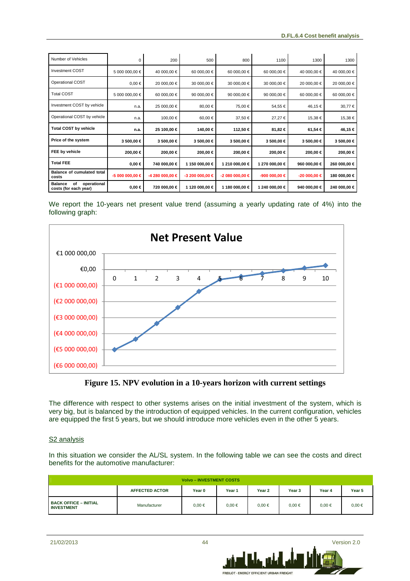| Number of Vehicles                                           | 0               | 200            | 500             | 800             | 1100           | 1300             | 1300         |
|--------------------------------------------------------------|-----------------|----------------|-----------------|-----------------|----------------|------------------|--------------|
| <b>Investment COST</b>                                       | 5 000 000,00 €  | 40 000,00 €    | 60 000,00 €     | 60 000,00 €     | 60 000,00 €    | 40 000,00 €      | 40 000,00 €  |
| <b>Operational COST</b>                                      | $0,00 \in$      | 20 000,00 €    | 30 000,00 €     | 30 000,00 €     | 30 000,00 €    | 20 000,00 €      | 20 000,00 €  |
| <b>Total COST</b>                                            | 5 000 000,00 €  | 60 000,00 €    | 90 000,00 €     | 90 000,00 €     | 90 000,00 €    | 60 000,00 €      | 60 000,00 €  |
| Investment COST by vehicle                                   | n.a.            | 25 000,00 €    | 80,00 €         | 75,00 €         | 54,55 €        | 46,15 €          | 30,77€       |
| Operational COST by vehicle                                  | n.a.            | 100.00 €       | 60,00 €         | 37,50 €         | 27,27€         | 15,38 €          | 15,38 €      |
| <b>Total COST by vehicle</b>                                 | n.a.            | 25 100,00 €    | 140,00 €        | 112,50 €        | 81,82 €        | 61,54 €          | 46,15 €      |
| Price of the system                                          | 3 500,00 €      | 3 500,00 €     | 3 500,00 €      | 3 500,00 €      | 3 500,00 €     | 3 500,00 €       | 3 500,00 €   |
| FEE by vehicle                                               | 200,00 €        | 200,00 €       | 200,00 €        | 200,00 €        | 200,00 €       | 200,00 €         | 200,00 €     |
| <b>Total FEE</b>                                             | $0,00 \in$      | 740 000,00 €   | 1 150 000,00 €  | 1 210 000,00 €  | 1 270 000,00 € | 960 000,00 $\in$ | 260 000,00 € |
| <b>Balance of cumulated total</b><br>costs                   | $-5000000000$ € | $-428000000$ € | -3 200 000,00 € | $-2080000000$ € | $-900000,00€$  | $-20000,00 \in$  | 180 000,00 € |
| <b>Balance</b><br>of<br>operational<br>costs (for each year) | $0,00 \in$      | 720 000,00 €   | 1 120 000,00 €  | 1 180 000,00 €  | 1 240 000,00 € | 940 000,00 $\in$ | 240 000,00 € |

We report the 10-years net present value trend (assuming a yearly updating rate of 4%) into the following graph:



**Figure 15. NPV evolution in a 10-years horizon with current settings** 

The difference with respect to other systems arises on the initial investment of the system, which is very big, but is balanced by the introduction of equipped vehicles. In the current configuration, vehicles are equipped the first 5 years, but we should introduce more vehicles even in the other 5 years.

# S2 analysis

In this situation we consider the AL/SL system. In the following table we can see the costs and direct benefits for the automotive manufacturer:

| <b>Volvo - INVESTMENT COSTS</b>                   |                       |            |            |            |                   |            |            |  |
|---------------------------------------------------|-----------------------|------------|------------|------------|-------------------|------------|------------|--|
|                                                   | <b>AFFECTED ACTOR</b> | Year 0     | Year 1     | Year 2     | Year <sub>3</sub> | Year 4     | Year 5     |  |
| <b>BACK OFFICE - INITIAL</b><br><b>INVESTMENT</b> | Manufacturer          | $0,00 \in$ | $0,00 \in$ | $0,00 \in$ | $0,00 \in$        | $0,00 \in$ | $0,00 \in$ |  |

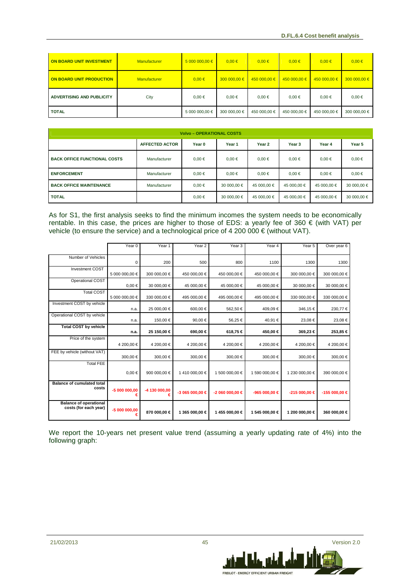| ON BOARD UNIT INVESTMENT         | Manufacturer        | 5 000 000,00 € | $0.00 \in$       | $0.00 \in$      | $0.00 \in$   | $0.00 \in$      | $0,00 \in$     |
|----------------------------------|---------------------|----------------|------------------|-----------------|--------------|-----------------|----------------|
| ON BOARD UNIT PRODUCTION         | <b>Manufacturer</b> | $0,00 \in$     | 300 000,00 $\in$ | $450000.00 \in$ | 450 000,00 € | $450000.00 \in$ | $30000000 \in$ |
| <b>ADVERTISING AND PUBLICITY</b> | City                | $0.00 \in$     | $0.00 \in$       | $0.00 \in$      | $0.00 \in$   | $0.00 \in$      | $0,00 \in$     |
| <b>TOTAL</b>                     |                     | 5 000 000,00 € | 300 000.00 €     | 450 000.00 €    | 450 000,00 € | 450 000,00 €    | 300 000,00 €   |

| <b>Volvo - OPERATIONAL COSTS</b>                                                  |              |            |             |             |             |             |             |  |  |
|-----------------------------------------------------------------------------------|--------------|------------|-------------|-------------|-------------|-------------|-------------|--|--|
| Year 5<br><b>AFFECTED ACTOR</b><br>Year 0<br>Year 1<br>Year 2<br>Year 4<br>Year 3 |              |            |             |             |             |             |             |  |  |
| <b>BACK OFFICE FUNCTIONAL COSTS</b>                                               | Manufacturer | $0.00 \in$ | $0.00 \in$  | $0.00 \in$  | $0.00 \in$  | $0.00 \in$  | $0.00 \in$  |  |  |
| <b>ENFORCEMENT</b>                                                                | Manufacturer | $0.00 \in$ | $0.00 \in$  | $0.00 \in$  | $0.00 \in$  | $0.00 \in$  | $0,00 \in$  |  |  |
| <b>BACK OFFICE MAINTENANCE</b>                                                    | Manufacturer | $0.00 \in$ | 30 000.00 € | 45 000.00 € | 45 000.00 € | 45 000.00 € | 30 000.00 € |  |  |
| <b>TOTAL</b>                                                                      |              | $0.00 \in$ | 30 000.00 € | 45 000.00 € | 45 000.00 € | 45 000.00 € | 30 000.00 € |  |  |

As for S1, the first analysis seeks to find the minimum incomes the system needs to be economically rentable. In this case, the prices are higher to those of EDS: a yearly fee of 360 € (with VAT) per vehicle (to ensure the service) and a technological price of 4 200 000  $\epsilon$  (without VAT).

|                                                        | Year $0$           | Year <sub>1</sub> | Year 2          | Year <sub>3</sub> | Year <sub>4</sub> | Year 5         | Over year 6      |
|--------------------------------------------------------|--------------------|-------------------|-----------------|-------------------|-------------------|----------------|------------------|
| Number of Vehicles                                     | 0                  | 200               | 500             | 800               | 1100              | 1300           | 1300             |
| <b>Investment COST</b>                                 | 5 000 000,00 €     | 300 000,00 €      | 450 000,00 €    | 450 000,00 €      | 450 000,00 €      | 300 000,00 €   | 300 000,00 €     |
| <b>Operational COST</b>                                | $0.00 \in$         | 30 000.00 €       | 45 000.00 €     | 45 000.00 €       | 45 000.00 €       | 30 000.00 €    | 30 000,00 €      |
| <b>Total COST</b>                                      | 5 000 000.00 €     | 330 000.00 €      | 495 000,00 €    | 495 000,00 €      | 495 000,00 €      | 330 000,00 €   | 330 000,00 €     |
| Investment COST by vehicle                             | n.a.               | 25 000.00 €       | 600.00€         | 562,50€           | 409.09€           | 346,15€        | 230,77€          |
| Operational COST by vehicle                            | n.a.               | 150,00 €          | 90,00 €         | 56,25€            | 40,91€            | 23,08€         | 23,08 €          |
| <b>Total COST by vehicle</b>                           | n.a.               | 25 150.00 €       | 690,00 €        | 618,75 €          | 450.00 €          | 369,23 €       | 253,85 €         |
| Price of the system                                    | 4 200,00 €         | 4 200,00 €        | 4 200,00 €      | 4 200,00 €        | 4 200,00 €        | 4 200,00 €     | 4 200,00 €       |
| FEE by vehicle (without VAT)                           | 300,00€            | 300,00 €          | 300,00€         | 300,00€           | 300,00€           | 300,00€        | 300,00€          |
| <b>Total FEE</b>                                       | $0.00 \in$         | 900 000.00 €      | 1410 000.00€    | 1 500 000.00 €    | 1 590 000.00 €    | 1 230 000.00 € | 390 000.00 €     |
| Balance of cumulated total<br>costs                    | $-5000000000$      | -4 130 000,00     | -3 065 000.00 € | $-2060000.00 \in$ | $-965000.00 \in$  | -215 000,00 €  | $-155000.00 \in$ |
| <b>Balance of operational</b><br>costs (for each year) | $-5000000000$<br>€ | 870 000,00 €      | 1 365 000,00 €  | 1455 000,00 €     | 1 545 000,00 €    | 1 200 000,00 € | 360 000,00 €     |

We report the 10-years net present value trend (assuming a yearly updating rate of 4%) into the following graph:



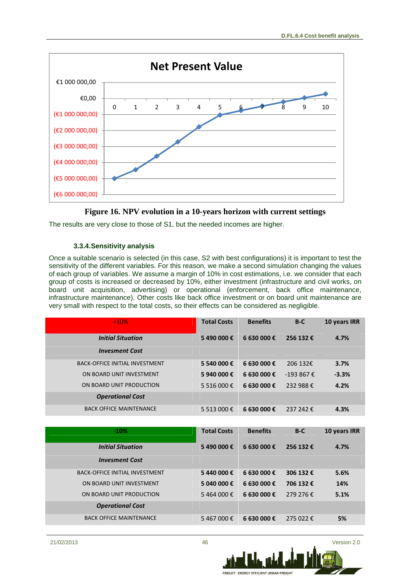



The results are very close to those of S1, but the needed incomes are higher.

# **3.3.4. Sensitivity analysis**

Once a suitable scenario is selected (in this case, S2 with best configurations) it is important to test the sensitivity of the different variables. For this reason, we make a second simulation changing the values of each group of variables. We assume a margin of 10% in cost estimations, i.e. we consider that each group of costs is increased or decreased by 10%, either investment (infrastructure and civil works, on board unit acquisition, advertising) or operational (enforcement, back office maintenance, infrastructure maintenance). Other costs like back office investment or on board unit maintenance are very small with respect to the total costs, so their effects can be considered as negligible.

| $+10%$                                | <b>Total Costs</b> | <b>Benefits</b> | $B-C$       | 10 years IRR |
|---------------------------------------|--------------------|-----------------|-------------|--------------|
| <b>Initial Situation</b>              | 5490 000€          | 6 630 000 €     | 256 132€    | 4.7%         |
| <b>Invesment Cost</b>                 |                    |                 |             |              |
| <b>BACK-OFFICE INITIAL INVESTMENT</b> | 5 540 000 €        | 6 630 000 €     | 206 132€    | 3.7%         |
| ON BOARD UNIT INVESTMENT              | 5 940 000 €        | 6 630 000€      | $-193867$ € | $-3.3%$      |
| ON BOARD UNIT PRODUCTION              | 5 516 000€         | 6 630 000 €     | 232 988 €   | 4.2%         |
| <b>Operational Cost</b>               |                    |                 |             |              |
| <b>BACK OFFICE MAINTENANCE</b>        | 5 513 000 €        | 6 630 000 €     | 237 242 €   | 4.3%         |
|                                       |                    |                 |             |              |
|                                       |                    |                 |             |              |
| $-10%$                                | <b>Total Costs</b> | <b>Benefits</b> | $B-C$       | 10 years IRR |
| <b>Initial Situation</b>              | 5490 000€          | 6 630 000 €     | 256 132 €   | 4.7%         |
| <b>Invesment Cost</b>                 |                    |                 |             |              |
| <b>BACK-OFFICE INITIAL INVESTMENT</b> | 5440 000€          | 6 630 000 €     | 306 132 €   | 5.6%         |
| ON BOARD UNIT INVESTMENT              | 5 040 000€         | 6 630 000€      | 706 132€    | 14%          |
| ON BOARD UNIT PRODUCTION              | 5464 000€          | 6 630 000 €     | 279 276 €   | 5.1%         |
| <b>Operational Cost</b>               |                    |                 |             |              |



21/02/2013 46 Version 2.0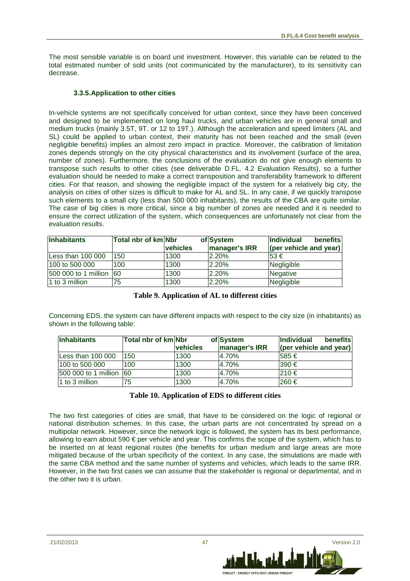The most sensible variable is on board unit investment. However, this variable can be related to the total estimated number of sold units (not communicated by the manufacturer), to its sensitivity can decrease.

# **3.3.5. Application to other cities**

In-vehicle systems are not specifically conceived for urban context, since they have been conceived and designed to be implemented on long haul trucks, and urban vehicles are in general small and medium trucks (mainly 3.5T, 9T. or 12 to 19T.). Although the acceleration and speed limiters (AL and SL) could be applied to urban context, their maturity has not been reached and the small (even negligible benefits) implies an almost zero impact in practice. Moreover, the calibration of limitation zones depends strongly on the city physical characteristics and its involvement (surface of the area, number of zones). Furthermore, the conclusions of the evaluation do not give enough elements to transpose such results to other cities (see deliverable D.FL. 4.2 Evaluation Results), so a further evaluation should be needed to make a correct transposition and transferability framework to different cities. For that reason, and showing the negligible impact of the system for a relatively big city, the analysis on cities of other sizes is difficult to make for AL and SL. In any case, if we quickly transpose such elements to a small city (less than 500 000 inhabitants), the results of the CBA are quite similar. The case of big cities is more critical, since a big number of zones are needed and it is needed to ensure the correct utilization of the system, which consequences are unfortunately not clear from the evaluation results.

| Inhabitants             | Total nbr of km Nbr |          | of System     | Individual<br>benefits |
|-------------------------|---------------------|----------|---------------|------------------------|
|                         |                     | vehicles | manager's IRR | (per vehicle and year) |
| Less than 100 000       | 150                 | 1300     | 2.20%         | $53 \in$               |
| 100 to 500 000          | 100                 | 1300     | 2.20%         | Negligible             |
| 500 000 to 1 million 60 |                     | 1300     | 2.20%         | Negative               |
| 1 to 3 million          | 75                  | 1300     | 2.20%         | Negligible             |

| .                      |     |          | <u>.</u>      | .                      |
|------------------------|-----|----------|---------------|------------------------|
|                        |     | vehicles | manager's IRR | (per vehicle and year) |
| ess than 100 000       | 150 | 1300     | 2.20%         | $53 \in$               |
| 00 to 500 000          | 100 | 1300     | 2.20%         | Negligible             |
| 00 000 to 1 million 60 |     | 1300     | 2.20%         | Negative               |
| to 3 million           | 75  | 1300     | 2.20%         | Negligible             |
|                        |     |          |               |                        |

Concerning EDS, the system can have different impacts with respect to the city size (in inhabitants) as shown in the following table:

| Inhabitants             | Total nbr of km Nbr |          | of System     | <b>Individual</b><br>benefits |
|-------------------------|---------------------|----------|---------------|-------------------------------|
|                         |                     | vehicles | manager's IRR | (per vehicle and year)        |
| Less than 100 000       | 150                 | 1300     | 4.70%         | 585 €                         |
| 100 to 500 000          | 100                 | 1300     | 4.70%         | 390 €                         |
| 500 000 to 1 million 60 |                     | 1300     | 4.70%         | 210€                          |
| $1$ to 3 million        | 75                  | 1300     | 4.70%         | 260 €                         |

# **Table 10. Application of EDS to different cities**

The two first categories of cities are small, that have to be considered on the logic of regional or national distribution schemes. In this case, the urban parts are not concentrated by spread on a multipolar network. However, since the network logic is followed, the system has its best performance, allowing to earn about 590  $\epsilon$  per vehicle and year. This confirms the scope of the system, which has to be inserted on at least regional routes (the benefits for urban medium and large areas are more mitigated because of the urban specificity of the context. In any case, the simulations are made with the same CBA method and the same number of systems and vehicles, which leads to the same IRR. However, in the two first cases we can assume that the stakeholder is regional or departmental, and in the other two it is urban.

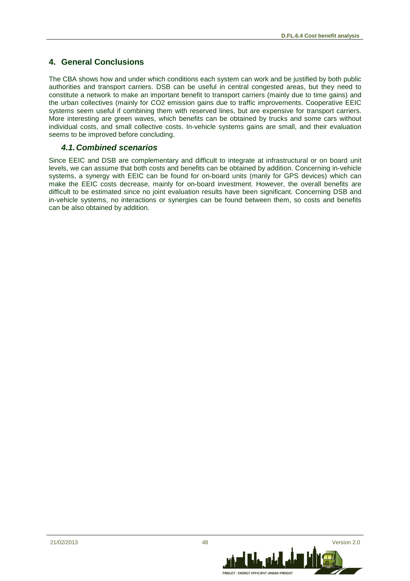# **4. General Conclusions**

The CBA shows how and under which conditions each system can work and be justified by both public authorities and transport carriers. DSB can be useful in central congested areas, but they need to constitute a network to make an important benefit to transport carriers (mainly due to time gains) and the urban collectives (mainly for CO2 emission gains due to traffic improvements. Cooperative EEIC systems seem useful if combining them with reserved lines, but are expensive for transport carriers. More interesting are green waves, which benefits can be obtained by trucks and some cars without individual costs, and small collective costs. In-vehicle systems gains are small, and their evaluation seems to be improved before concluding.

# **4.1. Combined scenarios**

Since EEIC and DSB are complementary and difficult to integrate at infrastructural or on board unit levels, we can assume that both costs and benefits can be obtained by addition. Concerning in-vehicle systems, a synergy with EEIC can be found for on-board units (manly for GPS devices) which can make the EEIC costs decrease, mainly for on-board investment. However, the overall benefits are difficult to be estimated since no joint evaluation results have been significant. Concerning DSB and in-vehicle systems, no interactions or synergies can be found between them, so costs and benefits can be also obtained by addition.



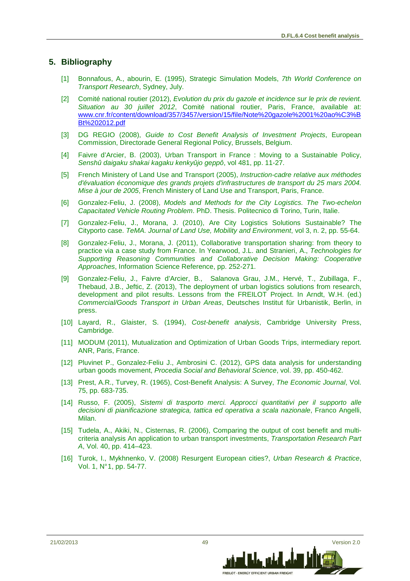# **5. Bibliography**

- [1] Bonnafous, A., abourin, E. (1995), Strategic Simulation Models, 7th World Conference on Transport Research, Sydney, July.
- [2] Comité national routier (2012), Evolution du prix du gazole et incidence sur le prix de revient. Situation au 30 juillet 2012, Comité national routier, Paris, France, available at: www.cnr.fr/content/download/357/3457/version/15/file/Note%20gazole%2001%20ao%C3%B Bt%202012.pdf
- [3] DG REGIO (2008), Guide to Cost Benefit Analysis of Investment Projects, European Commission, Directorade General Regional Policy, Brussels, Belgium.
- [4] Faivre d'Arcier, B. (2003), Urban Transport in France : Moving to a Sustainable Policy, Senshû daigaku shakai kagaku kenkyûjo geppô, vol 481, pp. 11-27.
- [5] French Ministery of Land Use and Transport (2005), Instruction-cadre relative aux méthodes d'évaluation économique des grands projets d'infrastructures de transport du 25 mars 2004. Mise à jour de 2005, French Ministery of Land Use and Transport, Paris, France.
- [6] Gonzalez-Feliu, J. (2008), Models and Methods for the City Logistics. The Two-echelon Capacitated Vehicle Routing Problem. PhD. Thesis. Politecnico di Torino, Turin, Italie.
- [7] Gonzalez-Feliu, J., Morana, J. (2010), Are City Logistics Solutions Sustainable? The Cityporto case. TeMA. Journal of Land Use, Mobility and Environment, vol 3, n. 2, pp. 55-64.
- [8] Gonzalez-Feliu, J., Morana, J. (2011), Collaborative transportation sharing: from theory to practice via a case study from France. In Yearwood, J.L. and Stranieri, A., Technologies for Supporting Reasoning Communities and Collaborative Decision Making: Cooperative Approaches, Information Science Reference, pp. 252-271.
- [9] Gonzalez-Feliu, J., Faivre d'Arcier, B., Salanova Grau, J.M., Hervé, T., Zubillaga, F., Thebaud, J.B., Jeftic, Z. (2013), The deployment of urban logistics solutions from research, development and pilot results. Lessons from the FREILOT Project. In Arndt, W.H. (ed.) Commercial/Goods Transport in Urban Areas, Deutsches Institut für Urbanistik, Berlin, in press.
- [10] Layard, R., Glaister, S. (1994), Cost-benefit analysis, Cambridge University Press, Cambridge.
- [11] MODUM (2011), Mutualization and Optimization of Urban Goods Trips, intermediary report. ANR, Paris, France.
- [12] Pluvinet P., Gonzalez-Feliu J., Ambrosini C. (2012), GPS data analysis for understanding urban goods movement, Procedia Social and Behavioral Science, vol. 39, pp. 450-462.
- [13] Prest, A.R., Turvey, R. (1965), Cost-Benefit Analysis: A Survey, The Economic Journal, Vol. 75, pp. 683-735.
- [14] Russo, F. (2005), Sistemi di trasporto merci. Approcci quantitativi per il supporto alle decisioni di pianificazione strategica, tattica ed operativa a scala nazionale, Franco Angelli, Milan.
- [15] Tudela, A., Akiki, N., Cisternas, R. (2006), Comparing the output of cost benefit and multicriteria analysis An application to urban transport investments, Transportation Research Part A, Vol. 40, pp. 414–423.
- [16] Turok, I., Mykhnenko, V. (2008) Resurgent European cities?, Urban Research & Practice, Vol. 1, N° 1, pp. 54-77.

21/02/2013 49 Version 2.0 FREILOT - ENERGY EFFICIENT URBAN FREIGHT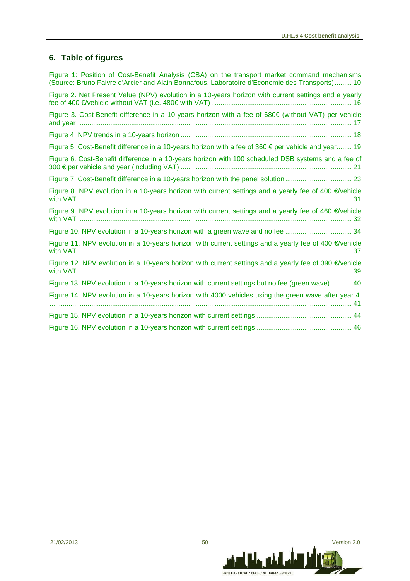# **6. Table of figures**

| Figure 1: Position of Cost-Benefit Analysis (CBA) on the transport market command mechanisms<br>(Source: Bruno Faivre d'Arcier and Alain Bonnafous, Laboratoire d'Economie des Transports) 10 |
|-----------------------------------------------------------------------------------------------------------------------------------------------------------------------------------------------|
| Figure 2. Net Present Value (NPV) evolution in a 10-years horizon with current settings and a yearly                                                                                          |
| Figure 3. Cost-Benefit difference in a 10-years horizon with a fee of 680€ (without VAT) per vehicle                                                                                          |
|                                                                                                                                                                                               |
| Figure 5. Cost-Benefit difference in a 10-years horizon with a fee of 360 € per vehicle and year 19                                                                                           |
| Figure 6. Cost-Benefit difference in a 10-years horizon with 100 scheduled DSB systems and a fee of                                                                                           |
|                                                                                                                                                                                               |
| Figure 8. NPV evolution in a 10-years horizon with current settings and a yearly fee of 400 €/vehicle                                                                                         |
| Figure 9. NPV evolution in a 10-years horizon with current settings and a yearly fee of 460 €/vehicle                                                                                         |
| Figure 10. NPV evolution in a 10-years horizon with a green wave and no fee  34                                                                                                               |
| Figure 11. NPV evolution in a 10-years horizon with current settings and a yearly fee of 400 €/vehicle                                                                                        |
| Figure 12. NPV evolution in a 10-years horizon with current settings and a yearly fee of 390 €/vehicle                                                                                        |
| Figure 13. NPV evolution in a 10-years horizon with current settings but no fee (green wave)  40                                                                                              |
| Figure 14. NPV evolution in a 10-years horizon with 4000 vehicles using the green wave after year 4.                                                                                          |
|                                                                                                                                                                                               |
|                                                                                                                                                                                               |